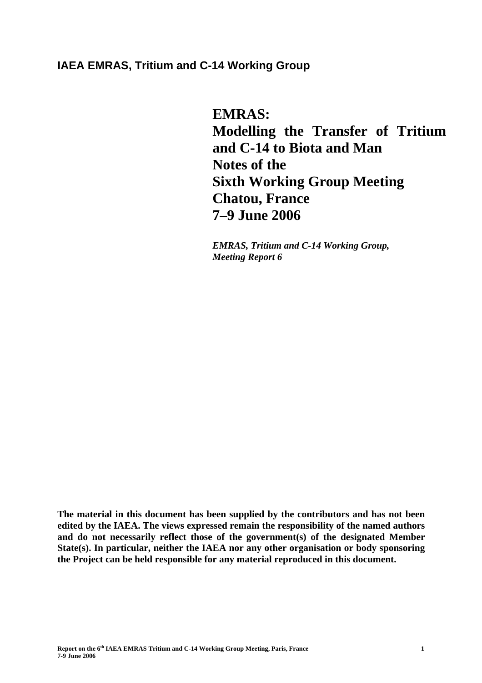# **IAEA EMRAS, Tritium and C-14 Working Group**

**EMRAS: Modelling the Transfer of Tritium and C-14 to Biota and Man Notes of the Sixth Working Group Meeting Chatou, France 7–9 June 2006** 

*EMRAS, Tritium and C-14 Working Group, Meeting Report 6* 

**The material in this document has been supplied by the contributors and has not been edited by the IAEA. The views expressed remain the responsibility of the named authors and do not necessarily reflect those of the government(s) of the designated Member State(s). In particular, neither the IAEA nor any other organisation or body sponsoring the Project can be held responsible for any material reproduced in this document.**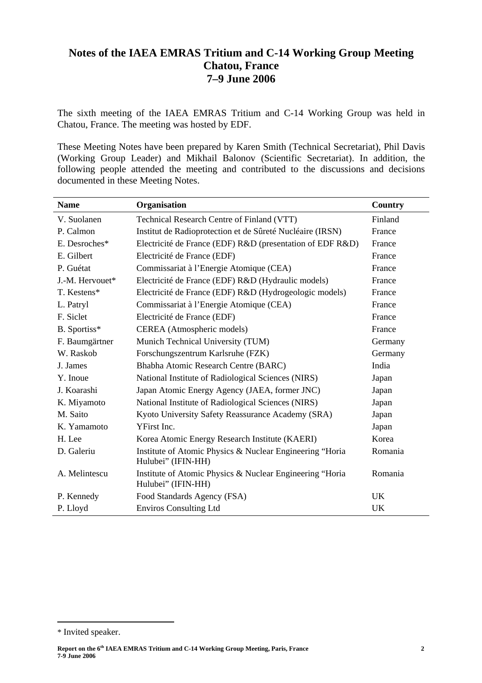# **Notes of the IAEA EMRAS Tritium and C-14 Working Group Meeting Chatou, France 7–9 June 2006**

The sixth meeting of the IAEA EMRAS Tritium and C-14 Working Group was held in Chatou, France. The meeting was hosted by EDF.

These Meeting Notes have been prepared by Karen Smith (Technical Secretariat), Phil Davis (Working Group Leader) and Mikhail Balonov (Scientific Secretariat). In addition, the following people attended the meeting and contributed to the discussions and decisions documented in these Meeting Notes.

| <b>Name</b>     | Organisation                                                                   | Country   |
|-----------------|--------------------------------------------------------------------------------|-----------|
| V. Suolanen     | Technical Research Centre of Finland (VTT)                                     | Finland   |
| P. Calmon       | Institut de Radioprotection et de Sûreté Nucléaire (IRSN)                      | France    |
| E. Desroches*   | Electricité de France (EDF) R&D (presentation of EDF R&D)                      | France    |
| E. Gilbert      | Electricité de France (EDF)                                                    | France    |
| P. Guétat       | Commissariat à l'Energie Atomique (CEA)                                        | France    |
| J.-M. Hervouet* | Electricité de France (EDF) R&D (Hydraulic models)                             | France    |
| T. Kestens*     | Electricité de France (EDF) R&D (Hydrogeologic models)                         | France    |
| L. Patryl       | Commissariat à l'Energie Atomique (CEA)                                        | France    |
| F. Siclet       | Electricité de France (EDF)                                                    | France    |
| B. Sportiss*    | CEREA (Atmospheric models)                                                     | France    |
| F. Baumgärtner  | Munich Technical University (TUM)                                              | Germany   |
| W. Raskob       | Forschungszentrum Karlsruhe (FZK)                                              | Germany   |
| J. James        | Bhabha Atomic Research Centre (BARC)                                           | India     |
| Y. Inoue        | National Institute of Radiological Sciences (NIRS)                             | Japan     |
| J. Koarashi     | Japan Atomic Energy Agency (JAEA, former JNC)                                  | Japan     |
| K. Miyamoto     | National Institute of Radiological Sciences (NIRS)                             | Japan     |
| M. Saito        | Kyoto University Safety Reassurance Academy (SRA)                              | Japan     |
| K. Yamamoto     | YFirst Inc.                                                                    | Japan     |
| H. Lee          | Korea Atomic Energy Research Institute (KAERI)                                 | Korea     |
| D. Galeriu      | Institute of Atomic Physics & Nuclear Engineering "Horia<br>Hulubei" (IFIN-HH) | Romania   |
| A. Melintescu   | Institute of Atomic Physics & Nuclear Engineering "Horia<br>Hulubei" (IFIN-HH) | Romania   |
| P. Kennedy      | Food Standards Agency (FSA)                                                    | <b>UK</b> |
| P. Lloyd        | <b>Enviros Consulting Ltd</b>                                                  | UK        |

 $\overline{a}$ 

**Report on the 6th IAEA EMRAS Tritium and C-14 Working Group Meeting, Paris, France 7-9 June 2006** 

<sup>\*</sup> Invited speaker.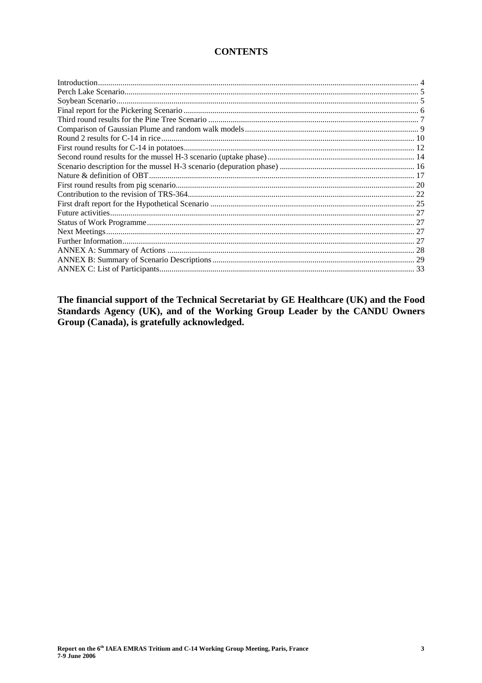# **CONTENTS**

The financial support of the Technical Secretariat by GE Healthcare (UK) and the Food Standards Agency (UK), and of the Working Group Leader by the CANDU Owners Group (Canada), is gratefully acknowledged.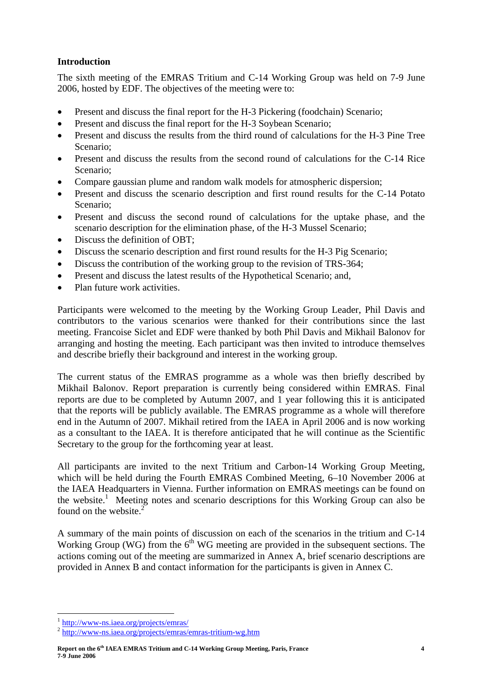# **Introduction**

The sixth meeting of the EMRAS Tritium and C-14 Working Group was held on 7-9 June 2006, hosted by EDF. The objectives of the meeting were to:

- Present and discuss the final report for the H-3 Pickering (foodchain) Scenario;
- Present and discuss the final report for the H-3 Soybean Scenario;
- Present and discuss the results from the third round of calculations for the H-3 Pine Tree Scenario;
- Present and discuss the results from the second round of calculations for the C-14 Rice Scenario;
- Compare gaussian plume and random walk models for atmospheric dispersion;
- Present and discuss the scenario description and first round results for the C-14 Potato Scenario;
- Present and discuss the second round of calculations for the uptake phase, and the scenario description for the elimination phase, of the H-3 Mussel Scenario;
- Discuss the definition of OBT;
- Discuss the scenario description and first round results for the H-3 Pig Scenario;
- Discuss the contribution of the working group to the revision of TRS-364;
- Present and discuss the latest results of the Hypothetical Scenario; and,
- Plan future work activities.

Participants were welcomed to the meeting by the Working Group Leader, Phil Davis and contributors to the various scenarios were thanked for their contributions since the last meeting. Francoise Siclet and EDF were thanked by both Phil Davis and Mikhail Balonov for arranging and hosting the meeting. Each participant was then invited to introduce themselves and describe briefly their background and interest in the working group.

The current status of the EMRAS programme as a whole was then briefly described by Mikhail Balonov. Report preparation is currently being considered within EMRAS. Final reports are due to be completed by Autumn 2007, and 1 year following this it is anticipated that the reports will be publicly available. The EMRAS programme as a whole will therefore end in the Autumn of 2007. Mikhail retired from the IAEA in April 2006 and is now working as a consultant to the IAEA. It is therefore anticipated that he will continue as the Scientific Secretary to the group for the forthcoming year at least.

All participants are invited to the next Tritium and Carbon-14 Working Group Meeting, which will be held during the Fourth EMRAS Combined Meeting, 6–10 November 2006 at the IAEA Headquarters in Vienna. Further information on EMRAS meetings can be found on the website.<sup>1</sup> Meeting notes and scenario descriptions for this Working Group can also be found on the website. $<sup>2</sup>$ </sup>

A summary of the main points of discussion on each of the scenarios in the tritium and C-14 Working Group (WG) from the  $6<sup>th</sup>$  WG meeting are provided in the subsequent sections. The actions coming out of the meeting are summarized in Annex A, brief scenario descriptions are provided in Annex B and contact information for the participants is given in Annex C.

 $\overline{a}$ 

**Report on the 6th IAEA EMRAS Tritium and C-14 Working Group Meeting, Paris, France 7-9 June 2006** 

<sup>1</sup> http://www-ns.iaea.org/projects/emras/ 2 http://www-ns.iaea.org/projects/emras/emras-tritium-wg.htm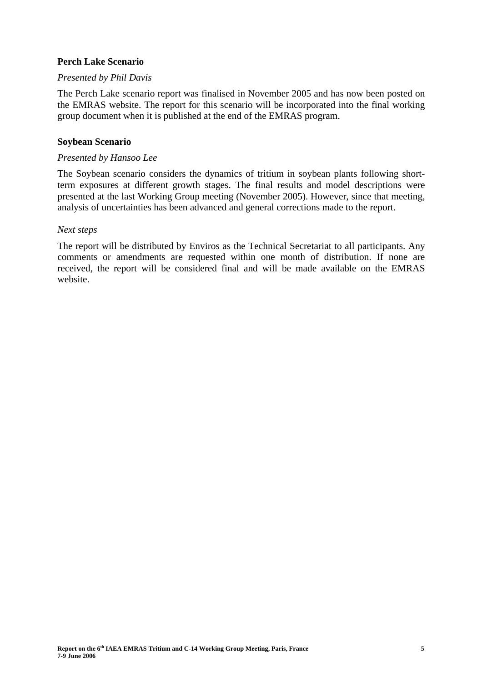# **Perch Lake Scenario**

# *Presented by Phil Davis*

The Perch Lake scenario report was finalised in November 2005 and has now been posted on the EMRAS website. The report for this scenario will be incorporated into the final working group document when it is published at the end of the EMRAS program.

# **Soybean Scenario**

# *Presented by Hansoo Lee*

The Soybean scenario considers the dynamics of tritium in soybean plants following shortterm exposures at different growth stages. The final results and model descriptions were presented at the last Working Group meeting (November 2005). However, since that meeting, analysis of uncertainties has been advanced and general corrections made to the report.

# *Next steps*

The report will be distributed by Enviros as the Technical Secretariat to all participants. Any comments or amendments are requested within one month of distribution. If none are received, the report will be considered final and will be made available on the EMRAS website.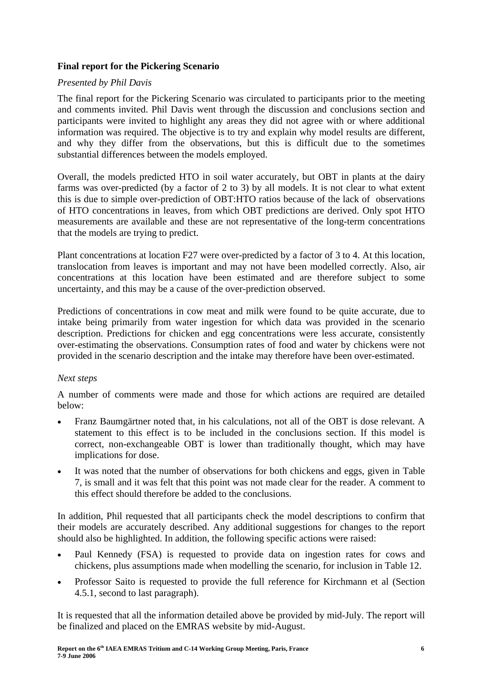# **Final report for the Pickering Scenario**

#### *Presented by Phil Davis*

The final report for the Pickering Scenario was circulated to participants prior to the meeting and comments invited. Phil Davis went through the discussion and conclusions section and participants were invited to highlight any areas they did not agree with or where additional information was required. The objective is to try and explain why model results are different. and why they differ from the observations, but this is difficult due to the sometimes substantial differences between the models employed.

Overall, the models predicted HTO in soil water accurately, but OBT in plants at the dairy farms was over-predicted (by a factor of 2 to 3) by all models. It is not clear to what extent this is due to simple over-prediction of OBT:HTO ratios because of the lack of observations of HTO concentrations in leaves, from which OBT predictions are derived. Only spot HTO measurements are available and these are not representative of the long-term concentrations that the models are trying to predict.

Plant concentrations at location F27 were over-predicted by a factor of 3 to 4. At this location, translocation from leaves is important and may not have been modelled correctly. Also, air concentrations at this location have been estimated and are therefore subject to some uncertainty, and this may be a cause of the over-prediction observed.

Predictions of concentrations in cow meat and milk were found to be quite accurate, due to intake being primarily from water ingestion for which data was provided in the scenario description. Predictions for chicken and egg concentrations were less accurate, consistently over-estimating the observations. Consumption rates of food and water by chickens were not provided in the scenario description and the intake may therefore have been over-estimated.

# *Next steps*

A number of comments were made and those for which actions are required are detailed below:

- Franz Baumgärtner noted that, in his calculations, not all of the OBT is dose relevant. A statement to this effect is to be included in the conclusions section. If this model is correct, non-exchangeable OBT is lower than traditionally thought, which may have implications for dose.
- It was noted that the number of observations for both chickens and eggs, given in Table 7, is small and it was felt that this point was not made clear for the reader. A comment to this effect should therefore be added to the conclusions.

In addition, Phil requested that all participants check the model descriptions to confirm that their models are accurately described. Any additional suggestions for changes to the report should also be highlighted. In addition, the following specific actions were raised:

- Paul Kennedy (FSA) is requested to provide data on ingestion rates for cows and chickens, plus assumptions made when modelling the scenario, for inclusion in Table 12.
- Professor Saito is requested to provide the full reference for Kirchmann et al (Section 4.5.1, second to last paragraph).

It is requested that all the information detailed above be provided by mid-July. The report will be finalized and placed on the EMRAS website by mid-August.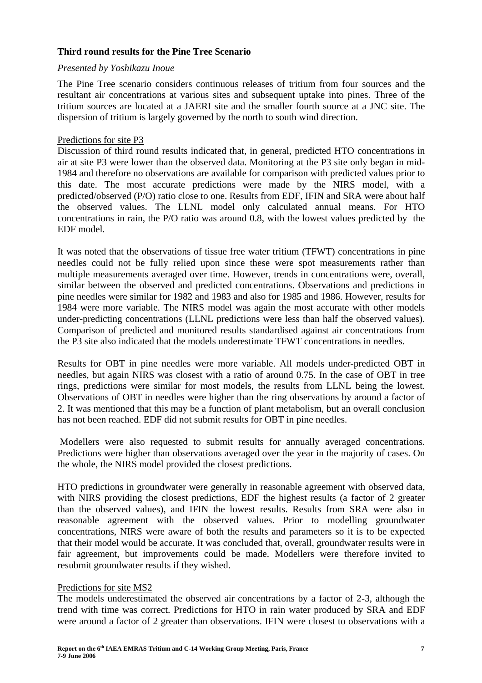# **Third round results for the Pine Tree Scenario**

#### *Presented by Yoshikazu Inoue*

The Pine Tree scenario considers continuous releases of tritium from four sources and the resultant air concentrations at various sites and subsequent uptake into pines. Three of the tritium sources are located at a JAERI site and the smaller fourth source at a JNC site. The dispersion of tritium is largely governed by the north to south wind direction.

# Predictions for site P3

Discussion of third round results indicated that, in general, predicted HTO concentrations in air at site P3 were lower than the observed data. Monitoring at the P3 site only began in mid-1984 and therefore no observations are available for comparison with predicted values prior to this date. The most accurate predictions were made by the NIRS model, with a predicted/observed (P/O) ratio close to one. Results from EDF, IFIN and SRA were about half the observed values. The LLNL model only calculated annual means. For HTO concentrations in rain, the P/O ratio was around 0.8, with the lowest values predicted by the EDF model.

It was noted that the observations of tissue free water tritium (TFWT) concentrations in pine needles could not be fully relied upon since these were spot measurements rather than multiple measurements averaged over time. However, trends in concentrations were, overall, similar between the observed and predicted concentrations. Observations and predictions in pine needles were similar for 1982 and 1983 and also for 1985 and 1986. However, results for 1984 were more variable. The NIRS model was again the most accurate with other models under-predicting concentrations (LLNL predictions were less than half the observed values). Comparison of predicted and monitored results standardised against air concentrations from the P3 site also indicated that the models underestimate TFWT concentrations in needles.

Results for OBT in pine needles were more variable. All models under-predicted OBT in needles, but again NIRS was closest with a ratio of around 0.75. In the case of OBT in tree rings, predictions were similar for most models, the results from LLNL being the lowest. Observations of OBT in needles were higher than the ring observations by around a factor of 2. It was mentioned that this may be a function of plant metabolism, but an overall conclusion has not been reached. EDF did not submit results for OBT in pine needles.

 Modellers were also requested to submit results for annually averaged concentrations. Predictions were higher than observations averaged over the year in the majority of cases. On the whole, the NIRS model provided the closest predictions.

HTO predictions in groundwater were generally in reasonable agreement with observed data, with NIRS providing the closest predictions, EDF the highest results (a factor of 2 greater than the observed values), and IFIN the lowest results. Results from SRA were also in reasonable agreement with the observed values. Prior to modelling groundwater concentrations, NIRS were aware of both the results and parameters so it is to be expected that their model would be accurate. It was concluded that, overall, groundwater results were in fair agreement, but improvements could be made. Modellers were therefore invited to resubmit groundwater results if they wished.

#### Predictions for site MS2

The models underestimated the observed air concentrations by a factor of 2-3, although the trend with time was correct. Predictions for HTO in rain water produced by SRA and EDF were around a factor of 2 greater than observations. IFIN were closest to observations with a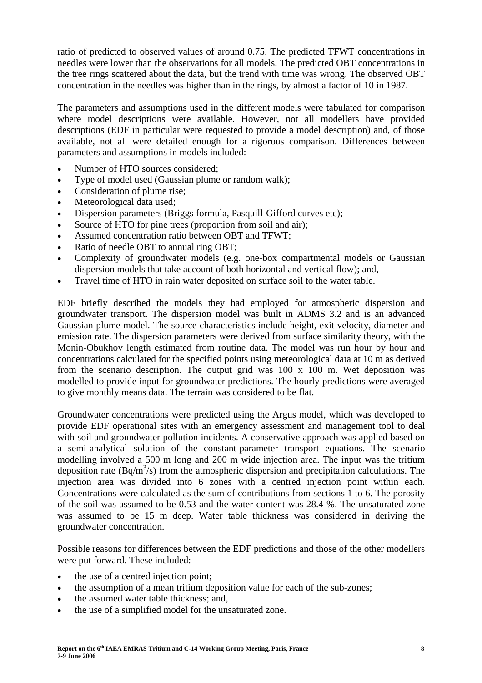ratio of predicted to observed values of around 0.75. The predicted TFWT concentrations in needles were lower than the observations for all models. The predicted OBT concentrations in the tree rings scattered about the data, but the trend with time was wrong. The observed OBT concentration in the needles was higher than in the rings, by almost a factor of 10 in 1987.

The parameters and assumptions used in the different models were tabulated for comparison where model descriptions were available. However, not all modellers have provided descriptions (EDF in particular were requested to provide a model description) and, of those available, not all were detailed enough for a rigorous comparison. Differences between parameters and assumptions in models included:

- Number of HTO sources considered:
- Type of model used (Gaussian plume or random walk);
- Consideration of plume rise;
- Meteorological data used:
- Dispersion parameters (Briggs formula, Pasquill-Gifford curves etc);
- Source of HTO for pine trees (proportion from soil and air);
- Assumed concentration ratio between OBT and TFWT;
- Ratio of needle OBT to annual ring OBT;
- Complexity of groundwater models (e.g. one-box compartmental models or Gaussian dispersion models that take account of both horizontal and vertical flow); and,
- Travel time of HTO in rain water deposited on surface soil to the water table.

EDF briefly described the models they had employed for atmospheric dispersion and groundwater transport. The dispersion model was built in ADMS 3.2 and is an advanced Gaussian plume model. The source characteristics include height, exit velocity, diameter and emission rate. The dispersion parameters were derived from surface similarity theory, with the Monin-Obukhov length estimated from routine data. The model was run hour by hour and concentrations calculated for the specified points using meteorological data at 10 m as derived from the scenario description. The output grid was 100 x 100 m. Wet deposition was modelled to provide input for groundwater predictions. The hourly predictions were averaged to give monthly means data. The terrain was considered to be flat.

Groundwater concentrations were predicted using the Argus model, which was developed to provide EDF operational sites with an emergency assessment and management tool to deal with soil and groundwater pollution incidents. A conservative approach was applied based on a semi-analytical solution of the constant-parameter transport equations. The scenario modelling involved a 500 m long and 200 m wide injection area. The input was the tritium deposition rate  $(Bq/m^3/s)$  from the atmospheric dispersion and precipitation calculations. The injection area was divided into 6 zones with a centred injection point within each. Concentrations were calculated as the sum of contributions from sections 1 to 6. The porosity of the soil was assumed to be 0.53 and the water content was 28.4 %. The unsaturated zone was assumed to be 15 m deep. Water table thickness was considered in deriving the groundwater concentration.

Possible reasons for differences between the EDF predictions and those of the other modellers were put forward. These included:

- the use of a centred injection point;
- the assumption of a mean tritium deposition value for each of the sub-zones;
- the assumed water table thickness; and,
- the use of a simplified model for the unsaturated zone.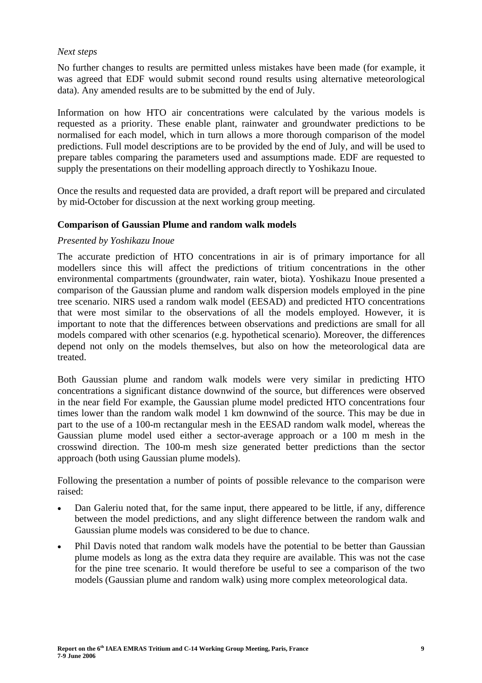# *Next steps*

No further changes to results are permitted unless mistakes have been made (for example, it was agreed that EDF would submit second round results using alternative meteorological data). Any amended results are to be submitted by the end of July.

Information on how HTO air concentrations were calculated by the various models is requested as a priority. These enable plant, rainwater and groundwater predictions to be normalised for each model, which in turn allows a more thorough comparison of the model predictions. Full model descriptions are to be provided by the end of July, and will be used to prepare tables comparing the parameters used and assumptions made. EDF are requested to supply the presentations on their modelling approach directly to Yoshikazu Inoue.

Once the results and requested data are provided, a draft report will be prepared and circulated by mid-October for discussion at the next working group meeting.

# **Comparison of Gaussian Plume and random walk models**

# *Presented by Yoshikazu Inoue*

The accurate prediction of HTO concentrations in air is of primary importance for all modellers since this will affect the predictions of tritium concentrations in the other environmental compartments (groundwater, rain water, biota). Yoshikazu Inoue presented a comparison of the Gaussian plume and random walk dispersion models employed in the pine tree scenario. NIRS used a random walk model (EESAD) and predicted HTO concentrations that were most similar to the observations of all the models employed. However, it is important to note that the differences between observations and predictions are small for all models compared with other scenarios (e.g. hypothetical scenario). Moreover, the differences depend not only on the models themselves, but also on how the meteorological data are treated.

Both Gaussian plume and random walk models were very similar in predicting HTO concentrations a significant distance downwind of the source, but differences were observed in the near field For example, the Gaussian plume model predicted HTO concentrations four times lower than the random walk model 1 km downwind of the source. This may be due in part to the use of a 100-m rectangular mesh in the EESAD random walk model, whereas the Gaussian plume model used either a sector-average approach or a 100 m mesh in the crosswind direction. The 100-m mesh size generated better predictions than the sector approach (both using Gaussian plume models).

Following the presentation a number of points of possible relevance to the comparison were raised:

- Dan Galeriu noted that, for the same input, there appeared to be little, if any, difference between the model predictions, and any slight difference between the random walk and Gaussian plume models was considered to be due to chance.
- Phil Davis noted that random walk models have the potential to be better than Gaussian plume models as long as the extra data they require are available. This was not the case for the pine tree scenario. It would therefore be useful to see a comparison of the two models (Gaussian plume and random walk) using more complex meteorological data.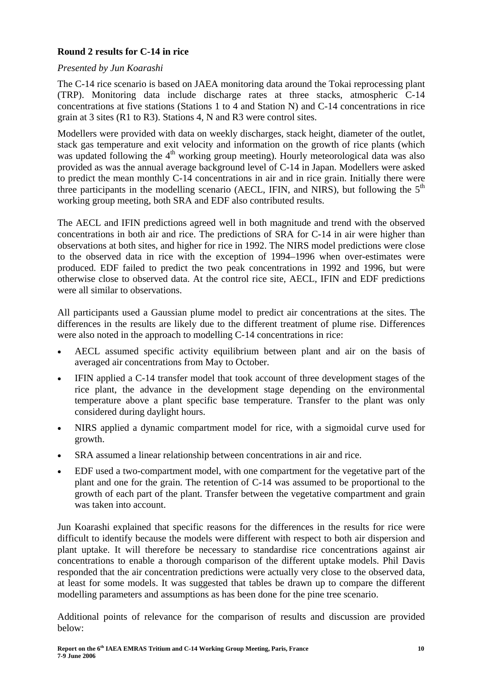# **Round 2 results for C-14 in rice**

# *Presented by Jun Koarashi*

The C-14 rice scenario is based on JAEA monitoring data around the Tokai reprocessing plant (TRP). Monitoring data include discharge rates at three stacks, atmospheric C-14 concentrations at five stations (Stations 1 to 4 and Station N) and C-14 concentrations in rice grain at 3 sites (R1 to R3). Stations 4, N and R3 were control sites.

Modellers were provided with data on weekly discharges, stack height, diameter of the outlet, stack gas temperature and exit velocity and information on the growth of rice plants (which was updated following the  $4<sup>th</sup>$  working group meeting). Hourly meteorological data was also provided as was the annual average background level of C-14 in Japan. Modellers were asked to predict the mean monthly C-14 concentrations in air and in rice grain. Initially there were three participants in the modelling scenario (AECL, IFIN, and NIRS), but following the  $5<sup>th</sup>$ working group meeting, both SRA and EDF also contributed results.

The AECL and IFIN predictions agreed well in both magnitude and trend with the observed concentrations in both air and rice. The predictions of SRA for C-14 in air were higher than observations at both sites, and higher for rice in 1992. The NIRS model predictions were close to the observed data in rice with the exception of 1994–1996 when over-estimates were produced. EDF failed to predict the two peak concentrations in 1992 and 1996, but were otherwise close to observed data. At the control rice site, AECL, IFIN and EDF predictions were all similar to observations.

All participants used a Gaussian plume model to predict air concentrations at the sites. The differences in the results are likely due to the different treatment of plume rise. Differences were also noted in the approach to modelling C-14 concentrations in rice:

- AECL assumed specific activity equilibrium between plant and air on the basis of averaged air concentrations from May to October.
- IFIN applied a C-14 transfer model that took account of three development stages of the rice plant, the advance in the development stage depending on the environmental temperature above a plant specific base temperature. Transfer to the plant was only considered during daylight hours.
- NIRS applied a dynamic compartment model for rice, with a sigmoidal curve used for growth.
- SRA assumed a linear relationship between concentrations in air and rice.
- EDF used a two-compartment model, with one compartment for the vegetative part of the plant and one for the grain. The retention of C-14 was assumed to be proportional to the growth of each part of the plant. Transfer between the vegetative compartment and grain was taken into account.

Jun Koarashi explained that specific reasons for the differences in the results for rice were difficult to identify because the models were different with respect to both air dispersion and plant uptake. It will therefore be necessary to standardise rice concentrations against air concentrations to enable a thorough comparison of the different uptake models. Phil Davis responded that the air concentration predictions were actually very close to the observed data, at least for some models. It was suggested that tables be drawn up to compare the different modelling parameters and assumptions as has been done for the pine tree scenario.

Additional points of relevance for the comparison of results and discussion are provided below: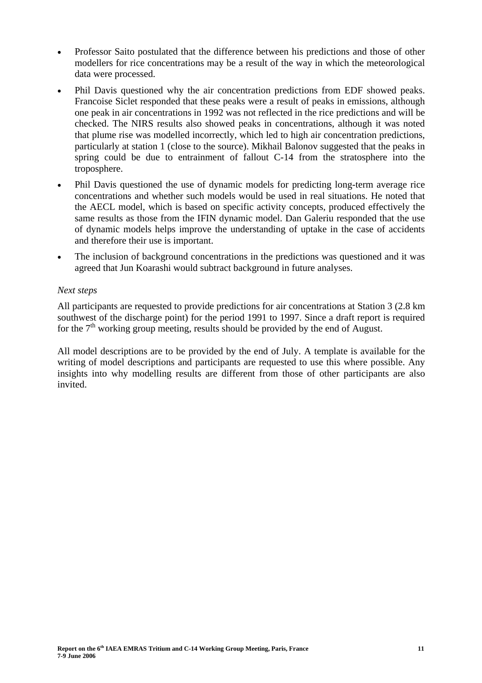- Professor Saito postulated that the difference between his predictions and those of other modellers for rice concentrations may be a result of the way in which the meteorological data were processed.
- Phil Davis questioned why the air concentration predictions from EDF showed peaks. Francoise Siclet responded that these peaks were a result of peaks in emissions, although one peak in air concentrations in 1992 was not reflected in the rice predictions and will be checked. The NIRS results also showed peaks in concentrations, although it was noted that plume rise was modelled incorrectly, which led to high air concentration predictions, particularly at station 1 (close to the source). Mikhail Balonov suggested that the peaks in spring could be due to entrainment of fallout C-14 from the stratosphere into the troposphere.
- Phil Davis questioned the use of dynamic models for predicting long-term average rice concentrations and whether such models would be used in real situations. He noted that the AECL model, which is based on specific activity concepts, produced effectively the same results as those from the IFIN dynamic model. Dan Galeriu responded that the use of dynamic models helps improve the understanding of uptake in the case of accidents and therefore their use is important.
- The inclusion of background concentrations in the predictions was questioned and it was agreed that Jun Koarashi would subtract background in future analyses.

# *Next steps*

All participants are requested to provide predictions for air concentrations at Station 3 (2.8 km southwest of the discharge point) for the period 1991 to 1997. Since a draft report is required for the  $7<sup>th</sup>$  working group meeting, results should be provided by the end of August.

All model descriptions are to be provided by the end of July. A template is available for the writing of model descriptions and participants are requested to use this where possible. Any insights into why modelling results are different from those of other participants are also invited.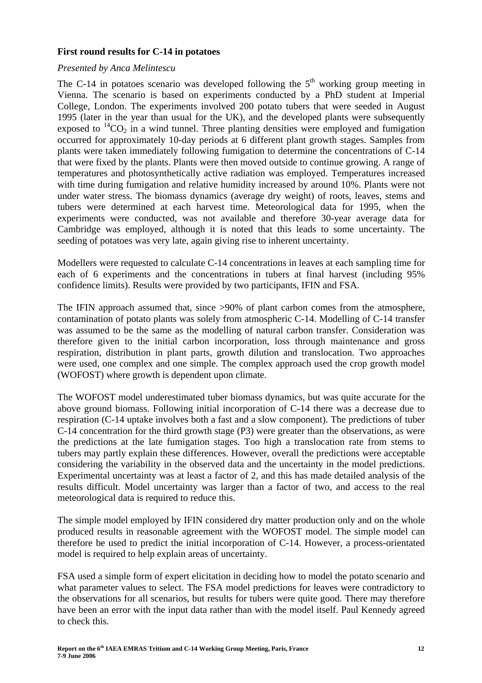#### **First round results for C-14 in potatoes**

#### *Presented by Anca Melintescu*

The C-14 in potatoes scenario was developed following the  $5<sup>th</sup>$  working group meeting in Vienna. The scenario is based on experiments conducted by a PhD student at Imperial College, London. The experiments involved 200 potato tubers that were seeded in August 1995 (later in the year than usual for the UK), and the developed plants were subsequently exposed to  ${}^{14}CO_2$  in a wind tunnel. Three planting densities were employed and fumigation occurred for approximately 10-day periods at 6 different plant growth stages. Samples from plants were taken immediately following fumigation to determine the concentrations of C-14 that were fixed by the plants. Plants were then moved outside to continue growing. A range of temperatures and photosynthetically active radiation was employed. Temperatures increased with time during fumigation and relative humidity increased by around 10%. Plants were not under water stress. The biomass dynamics (average dry weight) of roots, leaves, stems and tubers were determined at each harvest time. Meteorological data for 1995, when the experiments were conducted, was not available and therefore 30-year average data for Cambridge was employed, although it is noted that this leads to some uncertainty. The seeding of potatoes was very late, again giving rise to inherent uncertainty.

Modellers were requested to calculate C-14 concentrations in leaves at each sampling time for each of 6 experiments and the concentrations in tubers at final harvest (including 95% confidence limits). Results were provided by two participants, IFIN and FSA.

The IFIN approach assumed that, since  $>90\%$  of plant carbon comes from the atmosphere, contamination of potato plants was solely from atmospheric C-14. Modelling of C-14 transfer was assumed to be the same as the modelling of natural carbon transfer. Consideration was therefore given to the initial carbon incorporation, loss through maintenance and gross respiration, distribution in plant parts, growth dilution and translocation. Two approaches were used, one complex and one simple. The complex approach used the crop growth model (WOFOST) where growth is dependent upon climate.

The WOFOST model underestimated tuber biomass dynamics, but was quite accurate for the above ground biomass. Following initial incorporation of C-14 there was a decrease due to respiration (C-14 uptake involves both a fast and a slow component). The predictions of tuber C-14 concentration for the third growth stage (P3) were greater than the observations, as were the predictions at the late fumigation stages. Too high a translocation rate from stems to tubers may partly explain these differences. However, overall the predictions were acceptable considering the variability in the observed data and the uncertainty in the model predictions. Experimental uncertainty was at least a factor of 2, and this has made detailed analysis of the results difficult. Model uncertainty was larger than a factor of two, and access to the real meteorological data is required to reduce this.

The simple model employed by IFIN considered dry matter production only and on the whole produced results in reasonable agreement with the WOFOST model. The simple model can therefore be used to predict the initial incorporation of C-14. However, a process-orientated model is required to help explain areas of uncertainty.

FSA used a simple form of expert elicitation in deciding how to model the potato scenario and what parameter values to select. The FSA model predictions for leaves were contradictory to the observations for all scenarios, but results for tubers were quite good. There may therefore have been an error with the input data rather than with the model itself. Paul Kennedy agreed to check this.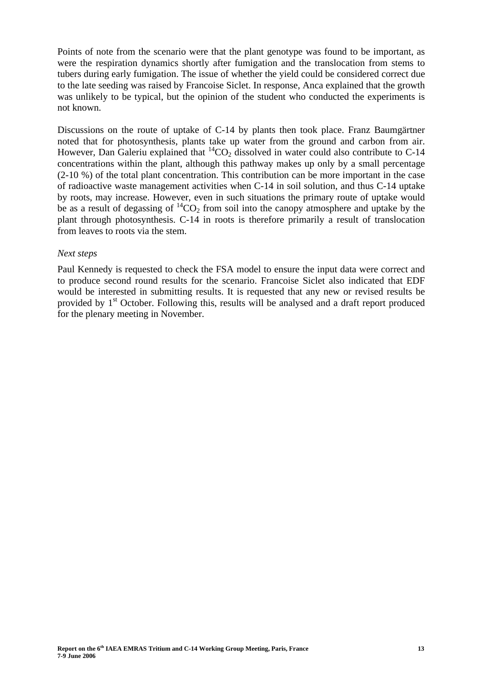Points of note from the scenario were that the plant genotype was found to be important, as were the respiration dynamics shortly after fumigation and the translocation from stems to tubers during early fumigation. The issue of whether the yield could be considered correct due to the late seeding was raised by Francoise Siclet. In response, Anca explained that the growth was unlikely to be typical, but the opinion of the student who conducted the experiments is not known.

Discussions on the route of uptake of C-14 by plants then took place. Franz Baumgärtner noted that for photosynthesis, plants take up water from the ground and carbon from air. However, Dan Galeriu explained that  ${}^{14}CO_2$  dissolved in water could also contribute to C-14 concentrations within the plant, although this pathway makes up only by a small percentage (2-10 %) of the total plant concentration. This contribution can be more important in the case of radioactive waste management activities when C-14 in soil solution, and thus C-14 uptake by roots, may increase. However, even in such situations the primary route of uptake would be as a result of degassing of  ${}^{14}CO_2$  from soil into the canopy atmosphere and uptake by the plant through photosynthesis. C-14 in roots is therefore primarily a result of translocation from leaves to roots via the stem.

#### *Next steps*

Paul Kennedy is requested to check the FSA model to ensure the input data were correct and to produce second round results for the scenario. Francoise Siclet also indicated that EDF would be interested in submitting results. It is requested that any new or revised results be provided by  $1<sup>st</sup>$  October. Following this, results will be analysed and a draft report produced for the plenary meeting in November.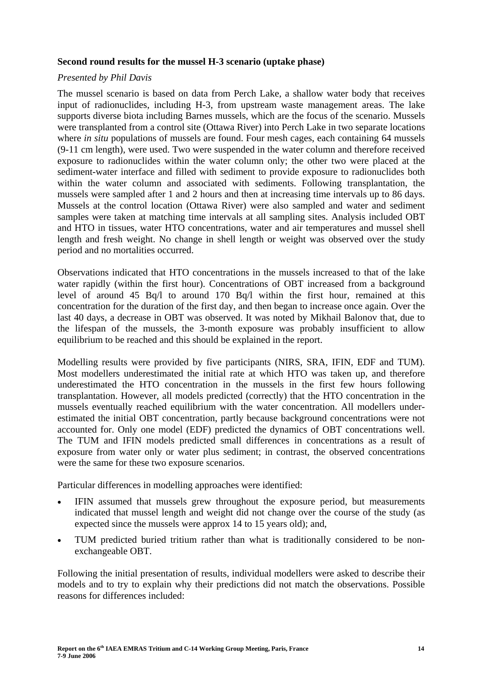#### **Second round results for the mussel H-3 scenario (uptake phase)**

#### *Presented by Phil Davis*

The mussel scenario is based on data from Perch Lake, a shallow water body that receives input of radionuclides, including H-3, from upstream waste management areas. The lake supports diverse biota including Barnes mussels, which are the focus of the scenario. Mussels were transplanted from a control site (Ottawa River) into Perch Lake in two separate locations where *in situ* populations of mussels are found. Four mesh cages, each containing 64 mussels (9-11 cm length), were used. Two were suspended in the water column and therefore received exposure to radionuclides within the water column only; the other two were placed at the sediment-water interface and filled with sediment to provide exposure to radionuclides both within the water column and associated with sediments. Following transplantation, the mussels were sampled after 1 and 2 hours and then at increasing time intervals up to 86 days. Mussels at the control location (Ottawa River) were also sampled and water and sediment samples were taken at matching time intervals at all sampling sites. Analysis included OBT and HTO in tissues, water HTO concentrations, water and air temperatures and mussel shell length and fresh weight. No change in shell length or weight was observed over the study period and no mortalities occurred.

Observations indicated that HTO concentrations in the mussels increased to that of the lake water rapidly (within the first hour). Concentrations of OBT increased from a background level of around 45 Bq/l to around 170 Bq/l within the first hour, remained at this concentration for the duration of the first day, and then began to increase once again. Over the last 40 days, a decrease in OBT was observed. It was noted by Mikhail Balonov that, due to the lifespan of the mussels, the 3-month exposure was probably insufficient to allow equilibrium to be reached and this should be explained in the report.

Modelling results were provided by five participants (NIRS, SRA, IFIN, EDF and TUM). Most modellers underestimated the initial rate at which HTO was taken up, and therefore underestimated the HTO concentration in the mussels in the first few hours following transplantation. However, all models predicted (correctly) that the HTO concentration in the mussels eventually reached equilibrium with the water concentration. All modellers underestimated the initial OBT concentration, partly because background concentrations were not accounted for. Only one model (EDF) predicted the dynamics of OBT concentrations well. The TUM and IFIN models predicted small differences in concentrations as a result of exposure from water only or water plus sediment; in contrast, the observed concentrations were the same for these two exposure scenarios.

Particular differences in modelling approaches were identified:

- IFIN assumed that mussels grew throughout the exposure period, but measurements indicated that mussel length and weight did not change over the course of the study (as expected since the mussels were approx 14 to 15 years old); and,
- TUM predicted buried tritium rather than what is traditionally considered to be nonexchangeable OBT.

Following the initial presentation of results, individual modellers were asked to describe their models and to try to explain why their predictions did not match the observations. Possible reasons for differences included: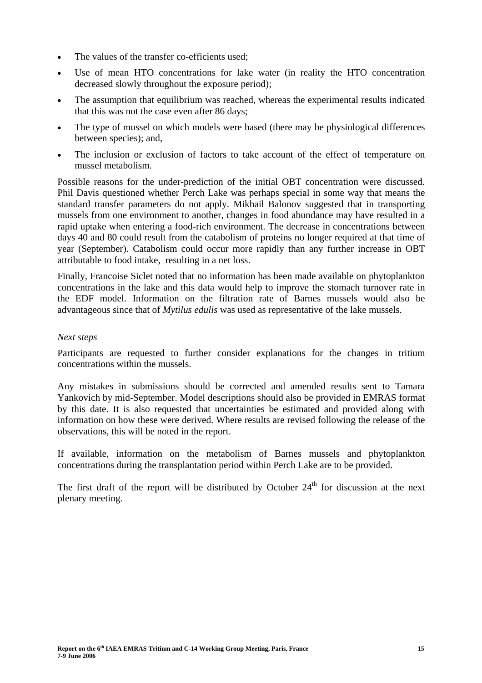- The values of the transfer co-efficients used:
- Use of mean HTO concentrations for lake water (in reality the HTO concentration decreased slowly throughout the exposure period);
- The assumption that equilibrium was reached, whereas the experimental results indicated that this was not the case even after 86 days;
- The type of mussel on which models were based (there may be physiological differences between species); and,
- The inclusion or exclusion of factors to take account of the effect of temperature on mussel metabolism.

Possible reasons for the under-prediction of the initial OBT concentration were discussed. Phil Davis questioned whether Perch Lake was perhaps special in some way that means the standard transfer parameters do not apply. Mikhail Balonov suggested that in transporting mussels from one environment to another, changes in food abundance may have resulted in a rapid uptake when entering a food-rich environment. The decrease in concentrations between days 40 and 80 could result from the catabolism of proteins no longer required at that time of year (September). Catabolism could occur more rapidly than any further increase in OBT attributable to food intake, resulting in a net loss.

Finally, Francoise Siclet noted that no information has been made available on phytoplankton concentrations in the lake and this data would help to improve the stomach turnover rate in the EDF model. Information on the filtration rate of Barnes mussels would also be advantageous since that of *Mytilus edulis* was used as representative of the lake mussels.

# *Next steps*

Participants are requested to further consider explanations for the changes in tritium concentrations within the mussels.

Any mistakes in submissions should be corrected and amended results sent to Tamara Yankovich by mid-September. Model descriptions should also be provided in EMRAS format by this date. It is also requested that uncertainties be estimated and provided along with information on how these were derived. Where results are revised following the release of the observations, this will be noted in the report.

If available, information on the metabolism of Barnes mussels and phytoplankton concentrations during the transplantation period within Perch Lake are to be provided.

The first draft of the report will be distributed by October  $24<sup>th</sup>$  for discussion at the next plenary meeting.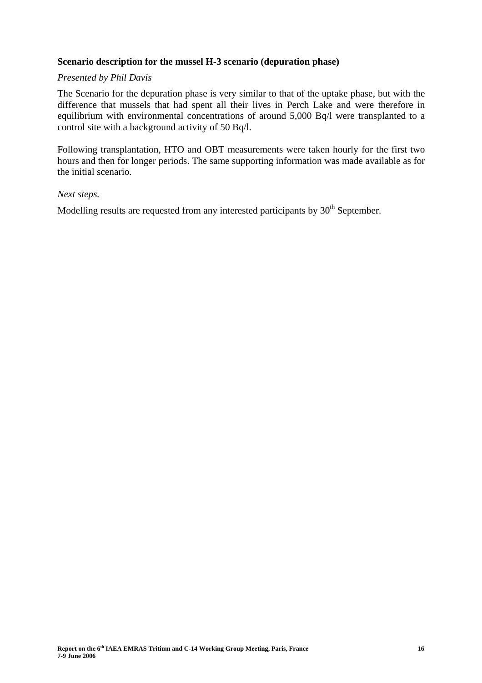# **Scenario description for the mussel H-3 scenario (depuration phase)**

# *Presented by Phil Davis*

The Scenario for the depuration phase is very similar to that of the uptake phase, but with the difference that mussels that had spent all their lives in Perch Lake and were therefore in equilibrium with environmental concentrations of around 5,000 Bq/l were transplanted to a control site with a background activity of 50 Bq/l.

Following transplantation, HTO and OBT measurements were taken hourly for the first two hours and then for longer periods. The same supporting information was made available as for the initial scenario.

#### *Next steps.*

Modelling results are requested from any interested participants by  $30<sup>th</sup>$  September.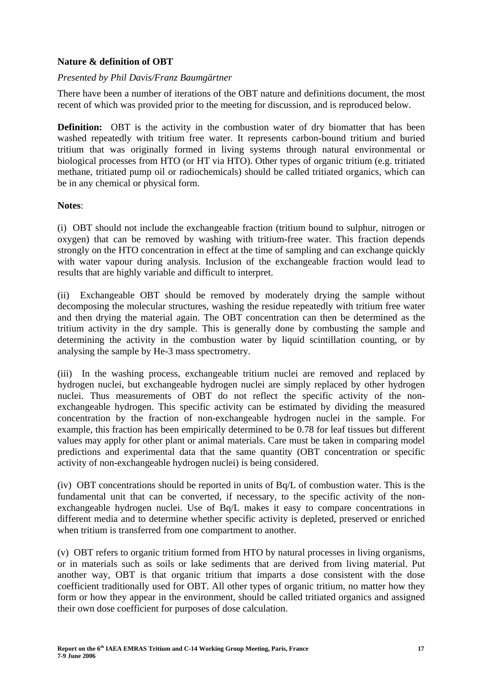# **Nature & definition of OBT**

# *Presented by Phil Davis/Franz Baumgärtner*

There have been a number of iterations of the OBT nature and definitions document, the most recent of which was provided prior to the meeting for discussion, and is reproduced below.

**Definition:** OBT is the activity in the combustion water of dry biomatter that has been washed repeatedly with tritium free water. It represents carbon-bound tritium and buried tritium that was originally formed in living systems through natural environmental or biological processes from HTO (or HT via HTO). Other types of organic tritium (e.g. tritiated methane, tritiated pump oil or radiochemicals) should be called tritiated organics, which can be in any chemical or physical form.

# **Notes**:

(i) OBT should not include the exchangeable fraction (tritium bound to sulphur, nitrogen or oxygen) that can be removed by washing with tritium-free water. This fraction depends strongly on the HTO concentration in effect at the time of sampling and can exchange quickly with water vapour during analysis. Inclusion of the exchangeable fraction would lead to results that are highly variable and difficult to interpret.

(ii) Exchangeable OBT should be removed by moderately drying the sample without decomposing the molecular structures, washing the residue repeatedly with tritium free water and then drying the material again. The OBT concentration can then be determined as the tritium activity in the dry sample. This is generally done by combusting the sample and determining the activity in the combustion water by liquid scintillation counting, or by analysing the sample by He-3 mass spectrometry.

(iii) In the washing process, exchangeable tritium nuclei are removed and replaced by hydrogen nuclei, but exchangeable hydrogen nuclei are simply replaced by other hydrogen nuclei. Thus measurements of OBT do not reflect the specific activity of the nonexchangeable hydrogen. This specific activity can be estimated by dividing the measured concentration by the fraction of non-exchangeable hydrogen nuclei in the sample. For example, this fraction has been empirically determined to be 0.78 for leaf tissues but different values may apply for other plant or animal materials. Care must be taken in comparing model predictions and experimental data that the same quantity (OBT concentration or specific activity of non-exchangeable hydrogen nuclei) is being considered.

(iv) OBT concentrations should be reported in units of Bq/L of combustion water. This is the fundamental unit that can be converted, if necessary, to the specific activity of the nonexchangeable hydrogen nuclei. Use of Bq/L makes it easy to compare concentrations in different media and to determine whether specific activity is depleted, preserved or enriched when tritium is transferred from one compartment to another.

(v) OBT refers to organic tritium formed from HTO by natural processes in living organisms, or in materials such as soils or lake sediments that are derived from living material. Put another way, OBT is that organic tritium that imparts a dose consistent with the dose coefficient traditionally used for OBT. All other types of organic tritium, no matter how they form or how they appear in the environment, should be called tritiated organics and assigned their own dose coefficient for purposes of dose calculation.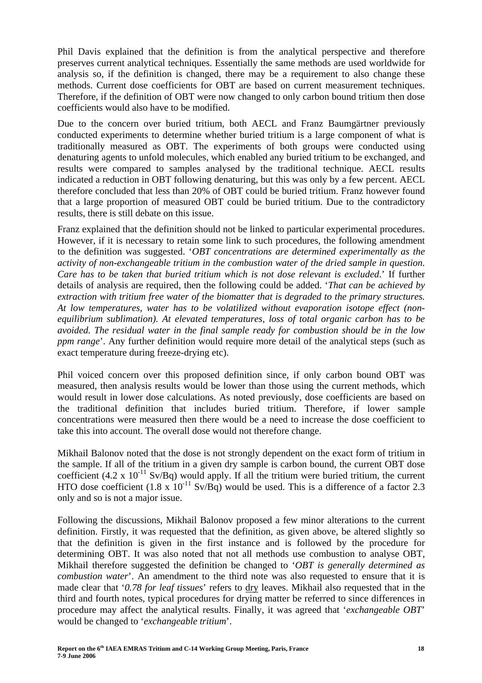Phil Davis explained that the definition is from the analytical perspective and therefore preserves current analytical techniques. Essentially the same methods are used worldwide for analysis so, if the definition is changed, there may be a requirement to also change these methods. Current dose coefficients for OBT are based on current measurement techniques. Therefore, if the definition of OBT were now changed to only carbon bound tritium then dose coefficients would also have to be modified.

Due to the concern over buried tritium, both AECL and Franz Baumgärtner previously conducted experiments to determine whether buried tritium is a large component of what is traditionally measured as OBT. The experiments of both groups were conducted using denaturing agents to unfold molecules, which enabled any buried tritium to be exchanged, and results were compared to samples analysed by the traditional technique. AECL results indicated a reduction in OBT following denaturing, but this was only by a few percent. AECL therefore concluded that less than 20% of OBT could be buried tritium. Franz however found that a large proportion of measured OBT could be buried tritium. Due to the contradictory results, there is still debate on this issue.

Franz explained that the definition should not be linked to particular experimental procedures. However, if it is necessary to retain some link to such procedures, the following amendment to the definition was suggested. '*OBT concentrations are determined experimentally as the activity of non-exchangeable tritium in the combustion water of the dried sample in question. Care has to be taken that buried tritium which is not dose relevant is excluded*.' If further details of analysis are required, then the following could be added. '*That can be achieved by extraction with tritium free water of the biomatter that is degraded to the primary structures. At low temperatures, water has to be volatilized without evaporation isotope effect (nonequilibrium sublimation). At elevated temperatures, loss of total organic carbon has to be avoided. The residual water in the final sample ready for combustion should be in the low ppm range*'. Any further definition would require more detail of the analytical steps (such as exact temperature during freeze-drying etc).

Phil voiced concern over this proposed definition since, if only carbon bound OBT was measured, then analysis results would be lower than those using the current methods, which would result in lower dose calculations. As noted previously, dose coefficients are based on the traditional definition that includes buried tritium. Therefore, if lower sample concentrations were measured then there would be a need to increase the dose coefficient to take this into account. The overall dose would not therefore change.

Mikhail Balonov noted that the dose is not strongly dependent on the exact form of tritium in the sample. If all of the tritium in a given dry sample is carbon bound, the current OBT dose coefficient  $(4.2 \times 10^{-11} \text{ Sv/Bq})$  would apply. If all the tritium were buried tritium, the current HTO dose coefficient  $(1.8 \times 10^{-11} \text{ Sv/Bq})$  would be used. This is a difference of a factor 2.3 only and so is not a major issue.

Following the discussions, Mikhail Balonov proposed a few minor alterations to the current definition. Firstly, it was requested that the definition, as given above, be altered slightly so that the definition is given in the first instance and is followed by the procedure for determining OBT. It was also noted that not all methods use combustion to analyse OBT, Mikhail therefore suggested the definition be changed to '*OBT is generally determined as combustion water*'. An amendment to the third note was also requested to ensure that it is made clear that '*0.78 for leaf tissues*' refers to dry leaves. Mikhail also requested that in the third and fourth notes, typical procedures for drying matter be referred to since differences in procedure may affect the analytical results. Finally, it was agreed that '*exchangeable OBT*' would be changed to '*exchangeable tritium*'.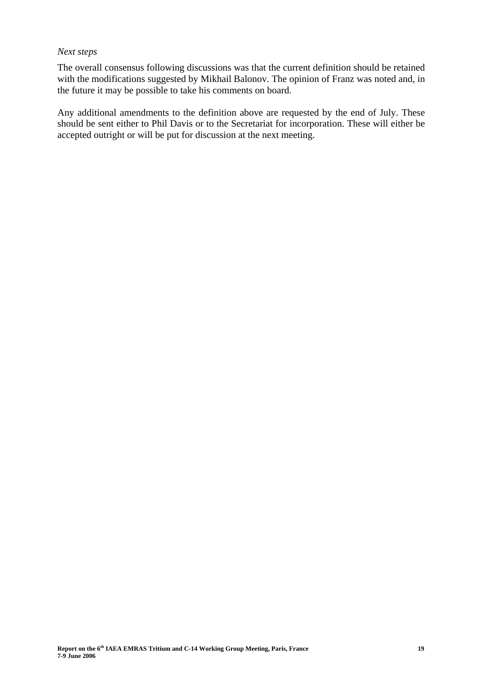# *Next steps*

The overall consensus following discussions was that the current definition should be retained with the modifications suggested by Mikhail Balonov. The opinion of Franz was noted and, in the future it may be possible to take his comments on board.

Any additional amendments to the definition above are requested by the end of July. These should be sent either to Phil Davis or to the Secretariat for incorporation. These will either be accepted outright or will be put for discussion at the next meeting.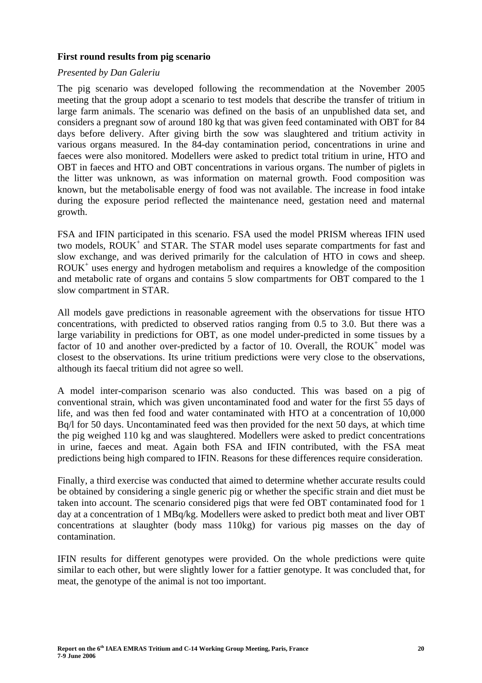# **First round results from pig scenario**

# *Presented by Dan Galeriu*

The pig scenario was developed following the recommendation at the November 2005 meeting that the group adopt a scenario to test models that describe the transfer of tritium in large farm animals. The scenario was defined on the basis of an unpublished data set, and considers a pregnant sow of around 180 kg that was given feed contaminated with OBT for 84 days before delivery. After giving birth the sow was slaughtered and tritium activity in various organs measured. In the 84-day contamination period, concentrations in urine and faeces were also monitored. Modellers were asked to predict total tritium in urine, HTO and OBT in faeces and HTO and OBT concentrations in various organs. The number of piglets in the litter was unknown, as was information on maternal growth. Food composition was known, but the metabolisable energy of food was not available. The increase in food intake during the exposure period reflected the maintenance need, gestation need and maternal growth.

FSA and IFIN participated in this scenario. FSA used the model PRISM whereas IFIN used two models, ROUK<sup>+</sup> and STAR. The STAR model uses separate compartments for fast and slow exchange, and was derived primarily for the calculation of HTO in cows and sheep. ROUK+ uses energy and hydrogen metabolism and requires a knowledge of the composition and metabolic rate of organs and contains 5 slow compartments for OBT compared to the 1 slow compartment in STAR.

All models gave predictions in reasonable agreement with the observations for tissue HTO concentrations, with predicted to observed ratios ranging from 0.5 to 3.0. But there was a large variability in predictions for OBT, as one model under-predicted in some tissues by a factor of 10 and another over-predicted by a factor of 10. Overall, the  $ROUK<sup>+</sup>$  model was closest to the observations. Its urine tritium predictions were very close to the observations, although its faecal tritium did not agree so well.

A model inter-comparison scenario was also conducted. This was based on a pig of conventional strain, which was given uncontaminated food and water for the first 55 days of life, and was then fed food and water contaminated with HTO at a concentration of 10,000 Bq/l for 50 days. Uncontaminated feed was then provided for the next 50 days, at which time the pig weighed 110 kg and was slaughtered. Modellers were asked to predict concentrations in urine, faeces and meat. Again both FSA and IFIN contributed, with the FSA meat predictions being high compared to IFIN. Reasons for these differences require consideration.

Finally, a third exercise was conducted that aimed to determine whether accurate results could be obtained by considering a single generic pig or whether the specific strain and diet must be taken into account. The scenario considered pigs that were fed OBT contaminated food for 1 day at a concentration of 1 MBq/kg. Modellers were asked to predict both meat and liver OBT concentrations at slaughter (body mass 110kg) for various pig masses on the day of contamination.

IFIN results for different genotypes were provided. On the whole predictions were quite similar to each other, but were slightly lower for a fattier genotype. It was concluded that, for meat, the genotype of the animal is not too important.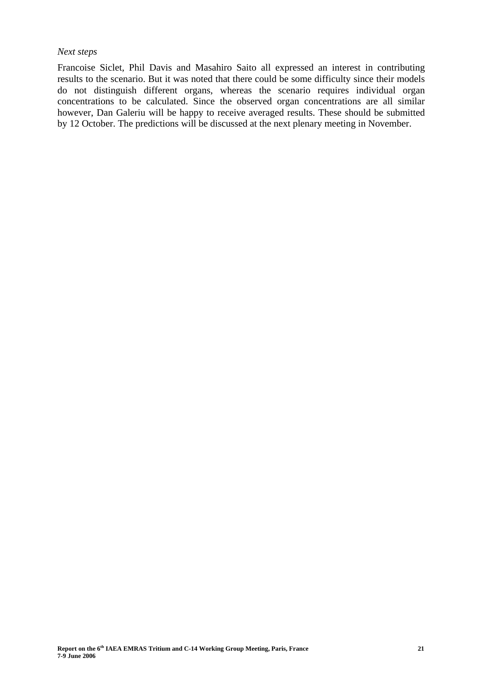# *Next steps*

Francoise Siclet, Phil Davis and Masahiro Saito all expressed an interest in contributing results to the scenario. But it was noted that there could be some difficulty since their models do not distinguish different organs, whereas the scenario requires individual organ concentrations to be calculated. Since the observed organ concentrations are all similar however, Dan Galeriu will be happy to receive averaged results. These should be submitted by 12 October. The predictions will be discussed at the next plenary meeting in November.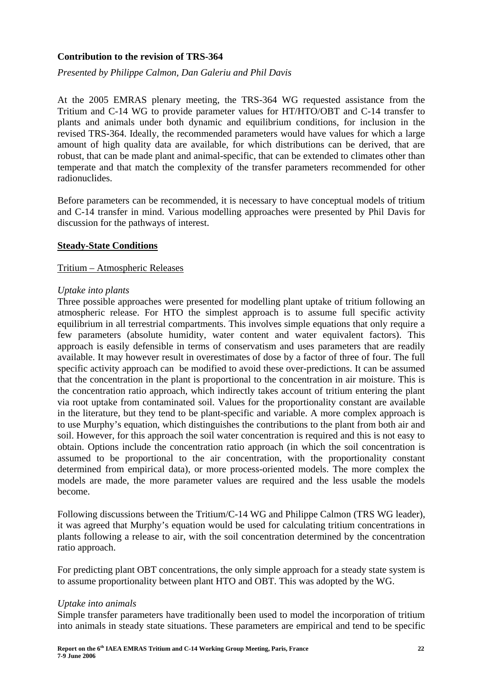# **Contribution to the revision of TRS-364**

*Presented by Philippe Calmon, Dan Galeriu and Phil Davis* 

At the 2005 EMRAS plenary meeting, the TRS-364 WG requested assistance from the Tritium and C-14 WG to provide parameter values for HT/HTO/OBT and C-14 transfer to plants and animals under both dynamic and equilibrium conditions, for inclusion in the revised TRS-364. Ideally, the recommended parameters would have values for which a large amount of high quality data are available, for which distributions can be derived, that are robust, that can be made plant and animal-specific, that can be extended to climates other than temperate and that match the complexity of the transfer parameters recommended for other radionuclides.

Before parameters can be recommended, it is necessary to have conceptual models of tritium and C-14 transfer in mind. Various modelling approaches were presented by Phil Davis for discussion for the pathways of interest.

# **Steady-State Conditions**

# Tritium – Atmospheric Releases

# *Uptake into plants*

Three possible approaches were presented for modelling plant uptake of tritium following an atmospheric release. For HTO the simplest approach is to assume full specific activity equilibrium in all terrestrial compartments. This involves simple equations that only require a few parameters (absolute humidity, water content and water equivalent factors). This approach is easily defensible in terms of conservatism and uses parameters that are readily available. It may however result in overestimates of dose by a factor of three of four. The full specific activity approach can be modified to avoid these over-predictions. It can be assumed that the concentration in the plant is proportional to the concentration in air moisture. This is the concentration ratio approach, which indirectly takes account of tritium entering the plant via root uptake from contaminated soil. Values for the proportionality constant are available in the literature, but they tend to be plant-specific and variable. A more complex approach is to use Murphy's equation, which distinguishes the contributions to the plant from both air and soil. However, for this approach the soil water concentration is required and this is not easy to obtain. Options include the concentration ratio approach (in which the soil concentration is assumed to be proportional to the air concentration, with the proportionality constant determined from empirical data), or more process-oriented models. The more complex the models are made, the more parameter values are required and the less usable the models become.

Following discussions between the Tritium/C-14 WG and Philippe Calmon (TRS WG leader), it was agreed that Murphy's equation would be used for calculating tritium concentrations in plants following a release to air, with the soil concentration determined by the concentration ratio approach.

For predicting plant OBT concentrations, the only simple approach for a steady state system is to assume proportionality between plant HTO and OBT. This was adopted by the WG.

# *Uptake into animals*

Simple transfer parameters have traditionally been used to model the incorporation of tritium into animals in steady state situations. These parameters are empirical and tend to be specific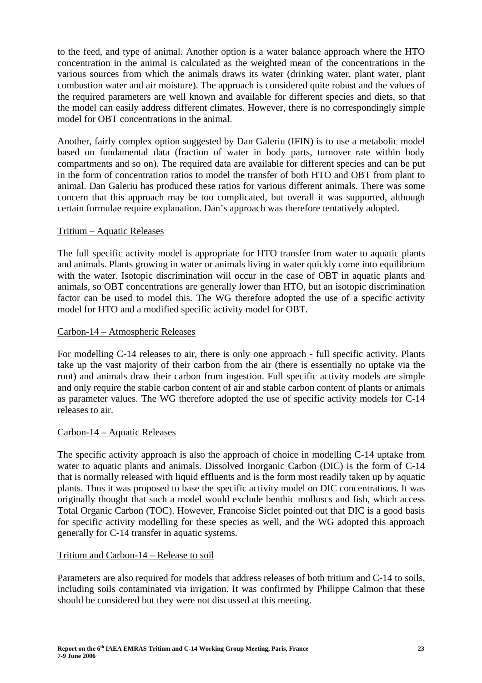to the feed, and type of animal. Another option is a water balance approach where the HTO concentration in the animal is calculated as the weighted mean of the concentrations in the various sources from which the animals draws its water (drinking water, plant water, plant combustion water and air moisture). The approach is considered quite robust and the values of the required parameters are well known and available for different species and diets, so that the model can easily address different climates. However, there is no correspondingly simple model for OBT concentrations in the animal.

Another, fairly complex option suggested by Dan Galeriu (IFIN) is to use a metabolic model based on fundamental data (fraction of water in body parts, turnover rate within body compartments and so on). The required data are available for different species and can be put in the form of concentration ratios to model the transfer of both HTO and OBT from plant to animal. Dan Galeriu has produced these ratios for various different animals. There was some concern that this approach may be too complicated, but overall it was supported, although certain formulae require explanation. Dan's approach was therefore tentatively adopted.

# Tritium – Aquatic Releases

The full specific activity model is appropriate for HTO transfer from water to aquatic plants and animals. Plants growing in water or animals living in water quickly come into equilibrium with the water. Isotopic discrimination will occur in the case of OBT in aquatic plants and animals, so OBT concentrations are generally lower than HTO, but an isotopic discrimination factor can be used to model this. The WG therefore adopted the use of a specific activity model for HTO and a modified specific activity model for OBT.

# Carbon-14 – Atmospheric Releases

For modelling C-14 releases to air, there is only one approach - full specific activity. Plants take up the vast majority of their carbon from the air (there is essentially no uptake via the root) and animals draw their carbon from ingestion. Full specific activity models are simple and only require the stable carbon content of air and stable carbon content of plants or animals as parameter values. The WG therefore adopted the use of specific activity models for C-14 releases to air.

# Carbon-14 – Aquatic Releases

The specific activity approach is also the approach of choice in modelling C-14 uptake from water to aquatic plants and animals. Dissolved Inorganic Carbon (DIC) is the form of C-14 that is normally released with liquid effluents and is the form most readily taken up by aquatic plants. Thus it was proposed to base the specific activity model on DIC concentrations. It was originally thought that such a model would exclude benthic molluscs and fish, which access Total Organic Carbon (TOC). However, Francoise Siclet pointed out that DIC is a good basis for specific activity modelling for these species as well, and the WG adopted this approach generally for C-14 transfer in aquatic systems.

# Tritium and Carbon-14 – Release to soil

Parameters are also required for models that address releases of both tritium and C-14 to soils, including soils contaminated via irrigation. It was confirmed by Philippe Calmon that these should be considered but they were not discussed at this meeting.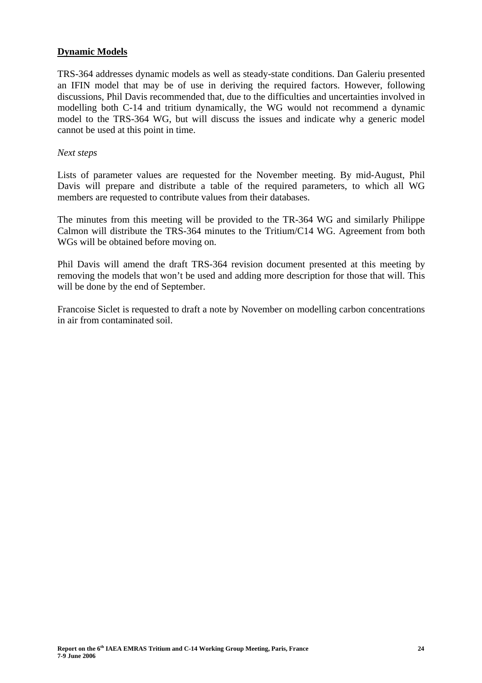# **Dynamic Models**

TRS-364 addresses dynamic models as well as steady-state conditions. Dan Galeriu presented an IFIN model that may be of use in deriving the required factors. However, following discussions, Phil Davis recommended that, due to the difficulties and uncertainties involved in modelling both C-14 and tritium dynamically, the WG would not recommend a dynamic model to the TRS-364 WG, but will discuss the issues and indicate why a generic model cannot be used at this point in time.

#### *Next steps*

Lists of parameter values are requested for the November meeting. By mid-August, Phil Davis will prepare and distribute a table of the required parameters, to which all WG members are requested to contribute values from their databases.

The minutes from this meeting will be provided to the TR-364 WG and similarly Philippe Calmon will distribute the TRS-364 minutes to the Tritium/C14 WG. Agreement from both WGs will be obtained before moving on.

Phil Davis will amend the draft TRS-364 revision document presented at this meeting by removing the models that won't be used and adding more description for those that will. This will be done by the end of September.

Francoise Siclet is requested to draft a note by November on modelling carbon concentrations in air from contaminated soil.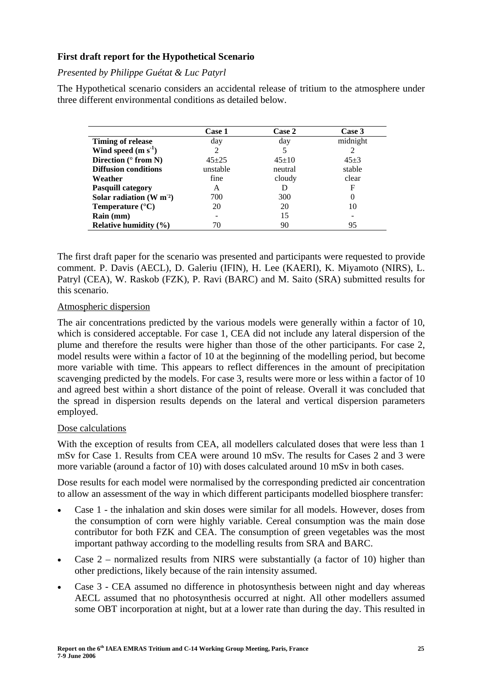# **First draft report for the Hypothetical Scenario**

# *Presented by Philippe Guétat & Luc Patyrl*

The Hypothetical scenario considers an accidental release of tritium to the atmosphere under three different environmental conditions as detailed below.

|                               | <b>Case 1</b> | <b>Case 2</b> | Case 3     |
|-------------------------------|---------------|---------------|------------|
| <b>Timing of release</b>      | day           | day           | midnight   |
| Wind speed $(m s-1)$          | 2             |               | 2          |
| Direction ( $\degree$ from N) | $45 + 25$     | $45+10$       | $45 \pm 3$ |
| <b>Diffusion conditions</b>   | unstable      | neutral       | stable     |
| Weather                       | fine          | cloudy        | clear      |
| <b>Pasquill category</b>      | A             |               | F          |
| Solar radiation $(W m2)$      | 700           | 300           | 0          |
| Temperature $(^{\circ}C)$     | 20            | 20            | 10         |
| Rain (mm)                     |               | 15            |            |
| Relative humidity $(\% )$     | 70            | 90            | 95         |

The first draft paper for the scenario was presented and participants were requested to provide comment. P. Davis (AECL), D. Galeriu (IFIN), H. Lee (KAERI), K. Miyamoto (NIRS), L. Patryl (CEA), W. Raskob (FZK), P. Ravi (BARC) and M. Saito (SRA) submitted results for this scenario.

# Atmospheric dispersion

The air concentrations predicted by the various models were generally within a factor of 10, which is considered acceptable. For case 1, CEA did not include any lateral dispersion of the plume and therefore the results were higher than those of the other participants. For case 2, model results were within a factor of 10 at the beginning of the modelling period, but become more variable with time. This appears to reflect differences in the amount of precipitation scavenging predicted by the models. For case 3, results were more or less within a factor of 10 and agreed best within a short distance of the point of release. Overall it was concluded that the spread in dispersion results depends on the lateral and vertical dispersion parameters employed.

# Dose calculations

With the exception of results from CEA, all modellers calculated doses that were less than 1 mSv for Case 1. Results from CEA were around 10 mSv. The results for Cases 2 and 3 were more variable (around a factor of 10) with doses calculated around 10 mSv in both cases.

Dose results for each model were normalised by the corresponding predicted air concentration to allow an assessment of the way in which different participants modelled biosphere transfer:

- Case 1 the inhalation and skin doses were similar for all models. However, doses from the consumption of corn were highly variable. Cereal consumption was the main dose contributor for both FZK and CEA. The consumption of green vegetables was the most important pathway according to the modelling results from SRA and BARC.
- Case  $2$  normalized results from NIRS were substantially (a factor of 10) higher than other predictions, likely because of the rain intensity assumed.
- Case 3 CEA assumed no difference in photosynthesis between night and day whereas AECL assumed that no photosynthesis occurred at night. All other modellers assumed some OBT incorporation at night, but at a lower rate than during the day. This resulted in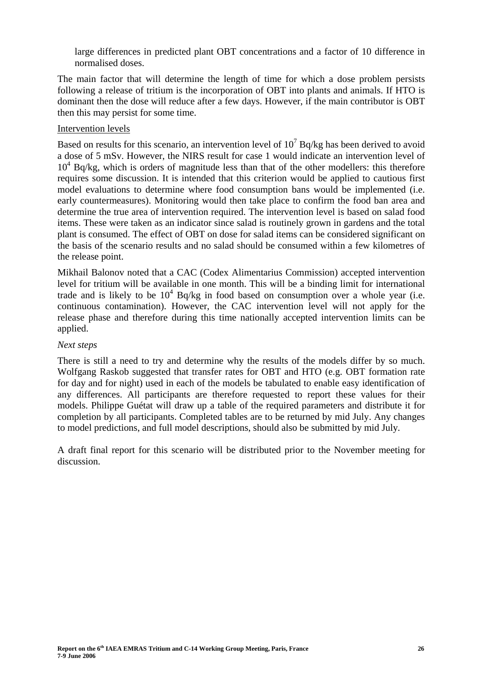large differences in predicted plant OBT concentrations and a factor of 10 difference in normalised doses.

The main factor that will determine the length of time for which a dose problem persists following a release of tritium is the incorporation of OBT into plants and animals. If HTO is dominant then the dose will reduce after a few days. However, if the main contributor is OBT then this may persist for some time.

# Intervention levels

Based on results for this scenario, an intervention level of  $10^7$  Bq/kg has been derived to avoid a dose of 5 mSv. However, the NIRS result for case 1 would indicate an intervention level of  $10<sup>4</sup>$  Bq/kg, which is orders of magnitude less than that of the other modellers: this therefore requires some discussion. It is intended that this criterion would be applied to cautious first model evaluations to determine where food consumption bans would be implemented (i.e. early countermeasures). Monitoring would then take place to confirm the food ban area and determine the true area of intervention required. The intervention level is based on salad food items. These were taken as an indicator since salad is routinely grown in gardens and the total plant is consumed. The effect of OBT on dose for salad items can be considered significant on the basis of the scenario results and no salad should be consumed within a few kilometres of the release point.

Mikhail Balonov noted that a CAC (Codex Alimentarius Commission) accepted intervention level for tritium will be available in one month. This will be a binding limit for international trade and is likely to be  $10^4$  Bq/kg in food based on consumption over a whole year (i.e. continuous contamination). However, the CAC intervention level will not apply for the release phase and therefore during this time nationally accepted intervention limits can be applied.

# *Next steps*

There is still a need to try and determine why the results of the models differ by so much. Wolfgang Raskob suggested that transfer rates for OBT and HTO (e.g. OBT formation rate for day and for night) used in each of the models be tabulated to enable easy identification of any differences. All participants are therefore requested to report these values for their models. Philippe Guétat will draw up a table of the required parameters and distribute it for completion by all participants. Completed tables are to be returned by mid July. Any changes to model predictions, and full model descriptions, should also be submitted by mid July*.* 

A draft final report for this scenario will be distributed prior to the November meeting for discussion.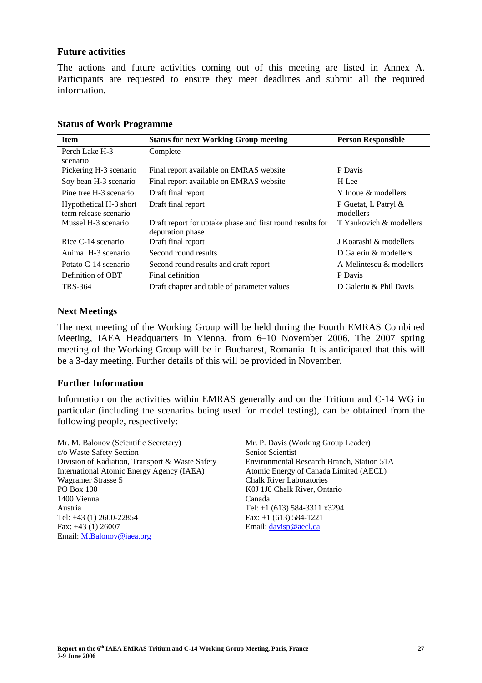#### **Future activities**

The actions and future activities coming out of this meeting are listed in Annex A. Participants are requested to ensure they meet deadlines and submit all the required information.

| <b>Item</b>                                     | <b>Status for next Working Group meeting</b>                                  | <b>Person Responsible</b>         |
|-------------------------------------------------|-------------------------------------------------------------------------------|-----------------------------------|
| Perch Lake H-3<br>scenario                      | Complete                                                                      |                                   |
| Pickering H-3 scenario                          | Final report available on EMRAS website                                       | P Davis                           |
| Soy bean H-3 scenario                           | Final report available on EMRAS website                                       | H Lee                             |
| Pine tree H-3 scenario                          | Draft final report                                                            | Y Inoue & modellers               |
| Hypothetical H-3 short<br>term release scenario | Draft final report                                                            | P Guetat, L Patryl &<br>modellers |
| Mussel H-3 scenario                             | Draft report for uptake phase and first round results for<br>depuration phase | T Yankovich & modellers           |
| Rice C-14 scenario                              | Draft final report                                                            | J Koarashi & modellers            |
| Animal H-3 scenario                             | Second round results                                                          | D Galeriu & modellers             |
| Potato C-14 scenario                            | Second round results and draft report                                         | A Melintescu & modellers          |
| Definition of OBT                               | Final definition                                                              | P Davis                           |
| TRS-364                                         | Draft chapter and table of parameter values                                   | D Galeriu & Phil Davis            |

#### **Status of Work Programme**

# **Next Meetings**

The next meeting of the Working Group will be held during the Fourth EMRAS Combined Meeting, IAEA Headquarters in Vienna, from 6–10 November 2006. The 2007 spring meeting of the Working Group will be in Bucharest, Romania. It is anticipated that this will be a 3-day meeting. Further details of this will be provided in November.

# **Further Information**

Information on the activities within EMRAS generally and on the Tritium and C-14 WG in particular (including the scenarios being used for model testing), can be obtained from the following people, respectively:

Mr. M. Balonov (Scientific Secretary) c/o Waste Safety Section Division of Radiation, Transport & Waste Safety International Atomic Energy Agency (IAEA) Wagramer Strasse 5 PO Box 100 1400 Vienna Austria Tel: +43 (1) 2600-22854 Fax: +43 (1) 26007 Email: M.Balonov@iaea.org

Mr. P. Davis (Working Group Leader) Senior Scientist Environmental Research Branch, Station 51A Atomic Energy of Canada Limited (AECL) Chalk River Laboratories K0J 1J0 Chalk River, Ontario Canada Tel: +1 (613) 584-3311 x3294 Fax: +1 (613) 584-1221 Email: davisp@aecl.ca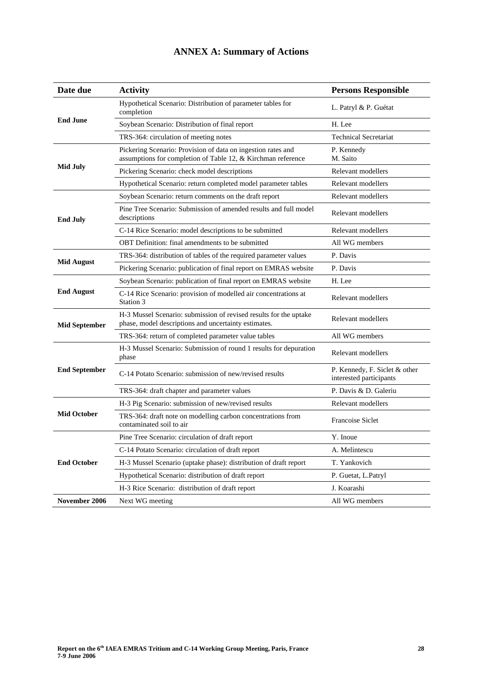| Date due             | <b>Activity</b>                                                                                                              | <b>Persons Responsible</b>                               |
|----------------------|------------------------------------------------------------------------------------------------------------------------------|----------------------------------------------------------|
| <b>End June</b>      | Hypothetical Scenario: Distribution of parameter tables for<br>completion                                                    | L. Patryl & P. Guétat                                    |
|                      | Soybean Scenario: Distribution of final report                                                                               | H. Lee                                                   |
|                      | TRS-364: circulation of meeting notes                                                                                        | <b>Technical Secretariat</b>                             |
| <b>Mid July</b>      | Pickering Scenario: Provision of data on ingestion rates and<br>assumptions for completion of Table 12, & Kirchman reference | P. Kennedy<br>M. Saito                                   |
|                      | Pickering Scenario: check model descriptions                                                                                 | Relevant modellers                                       |
|                      | Hypothetical Scenario: return completed model parameter tables                                                               | Relevant modellers                                       |
|                      | Soybean Scenario: return comments on the draft report                                                                        | Relevant modellers                                       |
| <b>End July</b>      | Pine Tree Scenario: Submission of amended results and full model<br>descriptions                                             | Relevant modellers                                       |
|                      | C-14 Rice Scenario: model descriptions to be submitted                                                                       | Relevant modellers                                       |
|                      | OBT Definition: final amendments to be submitted                                                                             | All WG members                                           |
|                      | TRS-364: distribution of tables of the required parameter values                                                             | P. Davis                                                 |
| <b>Mid August</b>    | Pickering Scenario: publication of final report on EMRAS website                                                             | P. Davis                                                 |
|                      | Soybean Scenario: publication of final report on EMRAS website                                                               | H. Lee                                                   |
| <b>End August</b>    | C-14 Rice Scenario: provision of modelled air concentrations at<br>Station 3                                                 | Relevant modellers                                       |
| <b>Mid September</b> | H-3 Mussel Scenario: submission of revised results for the uptake<br>phase, model descriptions and uncertainty estimates.    | Relevant modellers                                       |
|                      | TRS-364: return of completed parameter value tables                                                                          | All WG members                                           |
| <b>End September</b> | H-3 Mussel Scenario: Submission of round 1 results for depuration<br>phase                                                   | Relevant modellers                                       |
|                      | C-14 Potato Scenario: submission of new/revised results                                                                      | P. Kennedy, F. Siclet & other<br>interested participants |
|                      | TRS-364: draft chapter and parameter values                                                                                  | P. Davis & D. Galeriu                                    |
|                      | H-3 Pig Scenario: submission of new/revised results                                                                          | Relevant modellers                                       |
| <b>Mid October</b>   | TRS-364: draft note on modelling carbon concentrations from<br>contaminated soil to air                                      | Francoise Siclet                                         |
| <b>End October</b>   | Pine Tree Scenario: circulation of draft report                                                                              | Y. Inoue                                                 |
|                      | C-14 Potato Scenario: circulation of draft report                                                                            | A. Melintescu                                            |
|                      | H-3 Mussel Scenario (uptake phase): distribution of draft report                                                             | T. Yankovich                                             |
|                      | Hypothetical Scenario: distribution of draft report                                                                          | P. Guetat, L.Patryl                                      |
|                      | H-3 Rice Scenario: distribution of draft report                                                                              | J. Koarashi                                              |
| November 2006        | Next WG meeting                                                                                                              | All WG members                                           |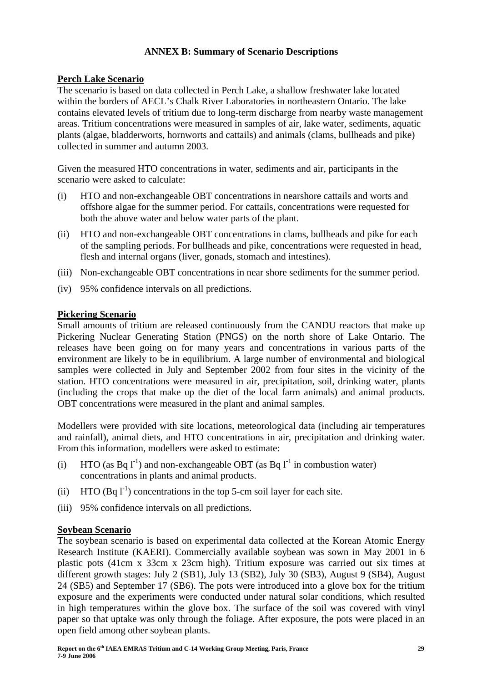# **ANNEX B: Summary of Scenario Descriptions**

# **Perch Lake Scenario**

The scenario is based on data collected in Perch Lake, a shallow freshwater lake located within the borders of AECL's Chalk River Laboratories in northeastern Ontario. The lake contains elevated levels of tritium due to long-term discharge from nearby waste management areas. Tritium concentrations were measured in samples of air, lake water, sediments, aquatic plants (algae, bladderworts, hornworts and cattails) and animals (clams, bullheads and pike) collected in summer and autumn 2003.

Given the measured HTO concentrations in water, sediments and air, participants in the scenario were asked to calculate:

- (i) HTO and non-exchangeable OBT concentrations in nearshore cattails and worts and offshore algae for the summer period. For cattails, concentrations were requested for both the above water and below water parts of the plant.
- (ii) HTO and non-exchangeable OBT concentrations in clams, bullheads and pike for each of the sampling periods. For bullheads and pike, concentrations were requested in head, flesh and internal organs (liver, gonads, stomach and intestines).
- (iii) Non-exchangeable OBT concentrations in near shore sediments for the summer period.
- (iv) 95% confidence intervals on all predictions.

# **Pickering Scenario**

Small amounts of tritium are released continuously from the CANDU reactors that make up Pickering Nuclear Generating Station (PNGS) on the north shore of Lake Ontario. The releases have been going on for many years and concentrations in various parts of the environment are likely to be in equilibrium. A large number of environmental and biological samples were collected in July and September 2002 from four sites in the vicinity of the station. HTO concentrations were measured in air, precipitation, soil, drinking water, plants (including the crops that make up the diet of the local farm animals) and animal products. OBT concentrations were measured in the plant and animal samples.

Modellers were provided with site locations, meteorological data (including air temperatures and rainfall), animal diets, and HTO concentrations in air, precipitation and drinking water. From this information, modellers were asked to estimate:

- (i) HTO (as Bq  $l^{-1}$ ) and non-exchangeable OBT (as Bq  $l^{-1}$  in combustion water) concentrations in plants and animal products.
- (ii) HTO  $(Bq l<sup>-1</sup>)$  concentrations in the top 5-cm soil layer for each site.
- (iii) 95% confidence intervals on all predictions.

# **Soybean Scenario**

The soybean scenario is based on experimental data collected at the Korean Atomic Energy Research Institute (KAERI). Commercially available soybean was sown in May 2001 in 6 plastic pots (41cm x 33cm x 23cm high). Tritium exposure was carried out six times at different growth stages: July 2 (SB1), July 13 (SB2), July 30 (SB3), August 9 (SB4), August 24 (SB5) and September 17 (SB6). The pots were introduced into a glove box for the tritium exposure and the experiments were conducted under natural solar conditions, which resulted in high temperatures within the glove box. The surface of the soil was covered with vinyl paper so that uptake was only through the foliage. After exposure, the pots were placed in an open field among other soybean plants.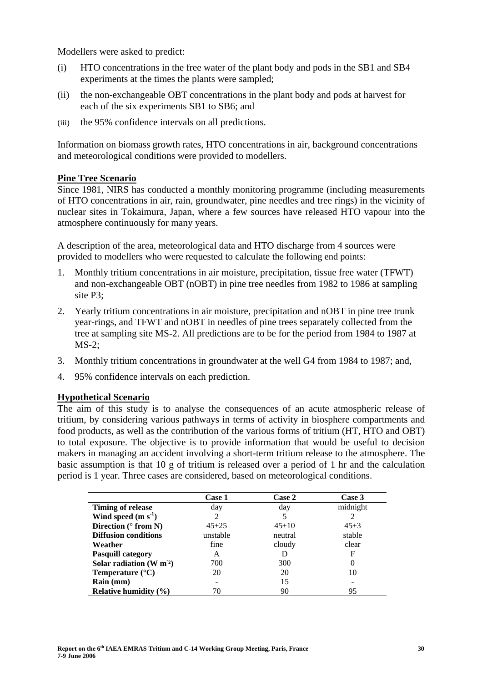Modellers were asked to predict:

- (i) HTO concentrations in the free water of the plant body and pods in the SB1 and SB4 experiments at the times the plants were sampled;
- (ii) the non-exchangeable OBT concentrations in the plant body and pods at harvest for each of the six experiments SB1 to SB6; and
- (iii) the 95% confidence intervals on all predictions.

Information on biomass growth rates, HTO concentrations in air, background concentrations and meteorological conditions were provided to modellers.

#### **Pine Tree Scenario**

Since 1981, NIRS has conducted a monthly monitoring programme (including measurements of HTO concentrations in air, rain, groundwater, pine needles and tree rings) in the vicinity of nuclear sites in Tokaimura, Japan, where a few sources have released HTO vapour into the atmosphere continuously for many years.

A description of the area, meteorological data and HTO discharge from 4 sources were provided to modellers who were requested to calculate the following end points:

- 1. Monthly tritium concentrations in air moisture, precipitation, tissue free water (TFWT) and non-exchangeable OBT (nOBT) in pine tree needles from 1982 to 1986 at sampling site P3;
- 2. Yearly tritium concentrations in air moisture, precipitation and nOBT in pine tree trunk year-rings, and TFWT and nOBT in needles of pine trees separately collected from the tree at sampling site MS-2. All predictions are to be for the period from 1984 to 1987 at MS-2;
- 3. Monthly tritium concentrations in groundwater at the well G4 from 1984 to 1987; and,
- 4. 95% confidence intervals on each prediction.

# **Hypothetical Scenario**

The aim of this study is to analyse the consequences of an acute atmospheric release of tritium, by considering various pathways in terms of activity in biosphere compartments and food products, as well as the contribution of the various forms of tritium (HT, HTO and OBT) to total exposure. The objective is to provide information that would be useful to decision makers in managing an accident involving a short-term tritium release to the atmosphere. The basic assumption is that 10 g of tritium is released over a period of 1 hr and the calculation period is 1 year. Three cases are considered, based on meteorological conditions.

|                               | <b>Case 1</b> | <b>Case 2</b> | Case 3   |
|-------------------------------|---------------|---------------|----------|
| <b>Timing of release</b>      | day           | day           | midnight |
| Wind speed $(m s-1)$          |               |               |          |
| Direction ( $\degree$ from N) | $45+25$       | $45+10$       | $45+3$   |
| <b>Diffusion conditions</b>   | unstable      | neutral       | stable   |
| Weather                       | fine          | cloudy        | clear    |
| <b>Pasquill category</b>      | A             |               | F        |
| Solar radiation $(W m2)$      | 700           | 300           |          |
| Temperature $(^{\circ}C)$     | 20            | 20            | 10       |
| Rain (mm)                     |               | 15            |          |
| Relative humidity $(\% )$     | 70            | 90            | 95       |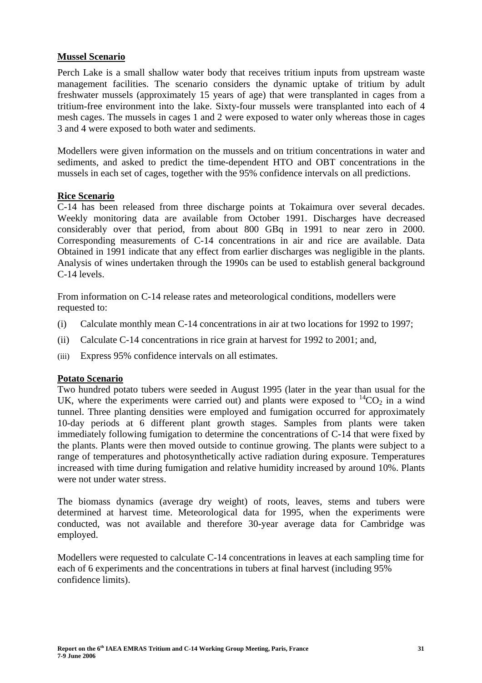# **Mussel Scenario**

Perch Lake is a small shallow water body that receives tritium inputs from upstream waste management facilities. The scenario considers the dynamic uptake of tritium by adult freshwater mussels (approximately 15 years of age) that were transplanted in cages from a tritium-free environment into the lake. Sixty-four mussels were transplanted into each of 4 mesh cages. The mussels in cages 1 and 2 were exposed to water only whereas those in cages 3 and 4 were exposed to both water and sediments.

Modellers were given information on the mussels and on tritium concentrations in water and sediments, and asked to predict the time-dependent HTO and OBT concentrations in the mussels in each set of cages, together with the 95% confidence intervals on all predictions.

# **Rice Scenario**

C-14 has been released from three discharge points at Tokaimura over several decades. Weekly monitoring data are available from October 1991. Discharges have decreased considerably over that period, from about 800 GBq in 1991 to near zero in 2000. Corresponding measurements of C-14 concentrations in air and rice are available. Data Obtained in 1991 indicate that any effect from earlier discharges was negligible in the plants. Analysis of wines undertaken through the 1990s can be used to establish general background C-14 levels.

From information on C-14 release rates and meteorological conditions, modellers were requested to:

- (i) Calculate monthly mean C-14 concentrations in air at two locations for 1992 to 1997;
- (ii) Calculate C-14 concentrations in rice grain at harvest for 1992 to 2001; and,
- (iii) Express 95% confidence intervals on all estimates.

# **Potato Scenario**

Two hundred potato tubers were seeded in August 1995 (later in the year than usual for the UK, where the experiments were carried out) and plants were exposed to  ${}^{14}CO_2$  in a wind tunnel. Three planting densities were employed and fumigation occurred for approximately 10-day periods at 6 different plant growth stages. Samples from plants were taken immediately following fumigation to determine the concentrations of C-14 that were fixed by the plants. Plants were then moved outside to continue growing. The plants were subject to a range of temperatures and photosynthetically active radiation during exposure. Temperatures increased with time during fumigation and relative humidity increased by around 10%. Plants were not under water stress.

The biomass dynamics (average dry weight) of roots, leaves, stems and tubers were determined at harvest time. Meteorological data for 1995, when the experiments were conducted, was not available and therefore 30-year average data for Cambridge was employed.

Modellers were requested to calculate C-14 concentrations in leaves at each sampling time for each of 6 experiments and the concentrations in tubers at final harvest (including 95% confidence limits).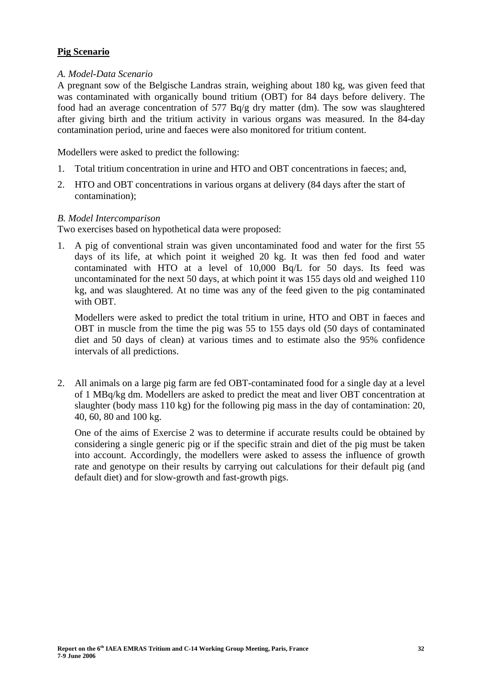# **Pig Scenario**

# *A. Model-Data Scenario*

A pregnant sow of the Belgische Landras strain, weighing about 180 kg, was given feed that was contaminated with organically bound tritium (OBT) for 84 days before delivery. The food had an average concentration of 577 Bq/g dry matter (dm). The sow was slaughtered after giving birth and the tritium activity in various organs was measured. In the 84-day contamination period, urine and faeces were also monitored for tritium content.

Modellers were asked to predict the following:

- 1. Total tritium concentration in urine and HTO and OBT concentrations in faeces; and,
- 2. HTO and OBT concentrations in various organs at delivery (84 days after the start of contamination);

# *B. Model Intercomparison*

Two exercises based on hypothetical data were proposed:

1. A pig of conventional strain was given uncontaminated food and water for the first 55 days of its life, at which point it weighed 20 kg. It was then fed food and water contaminated with HTO at a level of 10,000 Bq/L for 50 days. Its feed was uncontaminated for the next 50 days, at which point it was 155 days old and weighed 110 kg, and was slaughtered. At no time was any of the feed given to the pig contaminated with OBT.

Modellers were asked to predict the total tritium in urine, HTO and OBT in faeces and OBT in muscle from the time the pig was 55 to 155 days old (50 days of contaminated diet and 50 days of clean) at various times and to estimate also the 95% confidence intervals of all predictions.

2. All animals on a large pig farm are fed OBT-contaminated food for a single day at a level of 1 MBq/kg dm. Modellers are asked to predict the meat and liver OBT concentration at slaughter (body mass 110 kg) for the following pig mass in the day of contamination: 20, 40, 60, 80 and 100 kg.

One of the aims of Exercise 2 was to determine if accurate results could be obtained by considering a single generic pig or if the specific strain and diet of the pig must be taken into account. Accordingly, the modellers were asked to assess the influence of growth rate and genotype on their results by carrying out calculations for their default pig (and default diet) and for slow-growth and fast-growth pigs.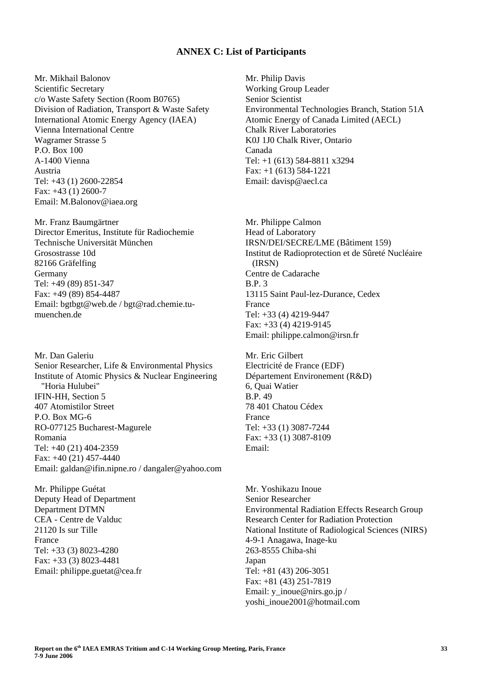#### **ANNEX C: List of Participants**

Mr. Mikhail Balonov Scientific Secretary c/o Waste Safety Section (Room B0765) Division of Radiation, Transport & Waste Safety International Atomic Energy Agency (IAEA) Vienna International Centre Wagramer Strasse 5 P.O. Box 100 A-1400 Vienna Austria Tel: +43 (1) 2600-22854 Fax: +43 (1) 2600-7 Email: M.Balonov@iaea.org

Mr. Franz Baumgärtner Director Emeritus, Institute für Radiochemie Technische Universität München Grosostrasse 10d 82166 Gräfelfing Germany Tel: +49 (89) 851-347 Fax: +49 (89) 854-4487 Email: bgtbgt@web.de / bgt@rad.chemie.tumuenchen.de

Mr. Dan Galeriu Senior Researcher, Life & Environmental Physics Institute of Atomic Physics & Nuclear Engineering "Horia Hulubei" IFIN-HH, Section 5 407 Atomistilor Street P.O. Box MG-6 RO-077125 Bucharest-Magurele Romania Tel: +40 (21) 404-2359 Fax: +40 (21) 457-4440 Email: galdan@ifin.nipne.ro / dangaler@yahoo.com

Mr. Philippe Guétat Deputy Head of Department Department DTMN CEA - Centre de Valduc 21120 Is sur Tille France Tel: +33 (3) 8023-4280 Fax: +33 (3) 8023-4481 Email: philippe.guetat@cea.fr Mr. Philip Davis Working Group Leader Senior Scientist Environmental Technologies Branch, Station 51A Atomic Energy of Canada Limited (AECL) Chalk River Laboratories K0J 1J0 Chalk River, Ontario Canada Tel: +1 (613) 584-8811 x3294 Fax: +1 (613) 584-1221 Email: davisp@aecl.ca

Mr. Philippe Calmon Head of Laboratory IRSN/DEI/SECRE/LME (Bâtiment 159) Institut de Radioprotection et de Sûreté Nucléaire (IRSN) Centre de Cadarache  $BP<sub>3</sub>$ 13115 Saint Paul-lez-Durance, Cedex France Tel: +33 (4) 4219-9447 Fax: +33 (4) 4219-9145 Email: philippe.calmon@irsn.fr

Mr. Eric Gilbert Electricité de France (EDF) Département Environement (R&D) 6, Quai Watier B.P. 49 78 401 Chatou Cédex France Tel: +33 (1) 3087-7244 Fax: +33 (1) 3087-8109 Email:

Mr. Yoshikazu Inoue Senior Researcher Environmental Radiation Effects Research Group Research Center for Radiation Protection National Institute of Radiological Sciences (NIRS) 4-9-1 Anagawa, Inage-ku 263-8555 Chiba-shi Japan Tel: +81 (43) 206-3051 Fax: +81 (43) 251-7819 Email: v\_inoue@nirs.go.jp / yoshi\_inoue2001@hotmail.com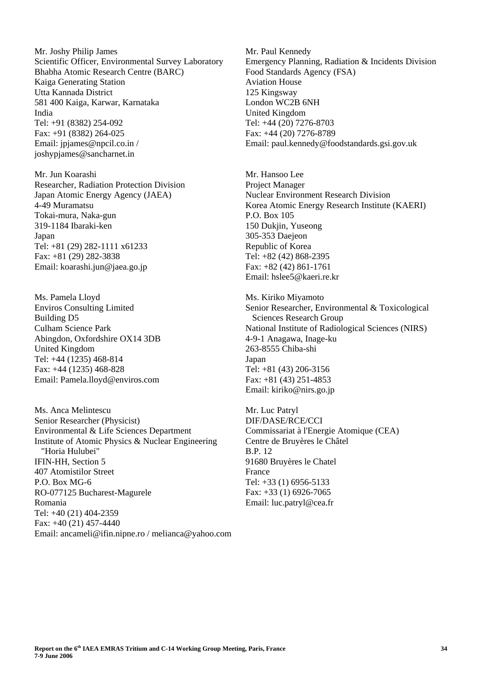Mr. Joshy Philip James Scientific Officer, Environmental Survey Laboratory Bhabha Atomic Research Centre (BARC) Kaiga Generating Station Utta Kannada District 581 400 Kaiga, Karwar, Karnataka India Tel: +91 (8382) 254-092 Fax: +91 (8382) 264-025 Email: jpjames@npcil.co.in / joshypjames@sancharnet.in

Mr. Jun Koarashi Researcher, Radiation Protection Division Japan Atomic Energy Agency (JAEA) 4-49 Muramatsu Tokai-mura, Naka-gun 319-1184 Ibaraki-ken Japan Tel: +81 (29) 282-1111 x61233 Fax: +81 (29) 282-3838 Email: koarashi.jun@jaea.go.jp

Ms. Pamela Lloyd Enviros Consulting Limited Building D5 Culham Science Park Abingdon, Oxfordshire OX14 3DB United Kingdom Tel: +44 (1235) 468-814 Fax: +44 (1235) 468-828 Email: Pamela.lloyd@enviros.com

Ms. Anca Melintescu Senior Researcher (Physicist) Environmental & Life Sciences Department Institute of Atomic Physics & Nuclear Engineering "Horia Hulubei" IFIN-HH, Section 5 407 Atomistilor Street P.O. Box MG-6 RO-077125 Bucharest-Magurele Romania Tel: +40 (21) 404-2359 Fax: +40 (21) 457-4440 Email: ancameli@ifin.nipne.ro / melianca@yahoo.com Mr. Paul Kennedy Emergency Planning, Radiation & Incidents Division Food Standards Agency (FSA) Aviation House 125 Kingsway London WC2B 6NH United Kingdom Tel: +44 (20) 7276-8703 Fax: +44 (20) 7276-8789 Email: paul.kennedy@foodstandards.gsi.gov.uk

Mr. Hansoo Lee Project Manager Nuclear Environment Research Division Korea Atomic Energy Research Institute (KAERI) P.O. Box 105 150 Dukjin, Yuseong 305-353 Daejeon Republic of Korea Tel: +82 (42) 868-2395 Fax: +82 (42) 861-1761 Email: hslee5@kaeri.re.kr

Ms. Kiriko Miyamoto Senior Researcher, Environmental & Toxicological Sciences Research Group National Institute of Radiological Sciences (NIRS) 4-9-1 Anagawa, Inage-ku 263-8555 Chiba-shi Japan Tel: +81 (43) 206-3156 Fax: +81 (43) 251-4853 Email: kiriko@nirs.go.jp

Mr. Luc Patryl DIF/DASE/RCE/CCI Commissariat à l'Energie Atomique (CEA) Centre de Bruyères le Châtel B.P. 12 91680 Bruyères le Chatel France Tel: +33 (1) 6956-5133 Fax: +33 (1) 6926-7065 Email: luc.patryl@cea.fr